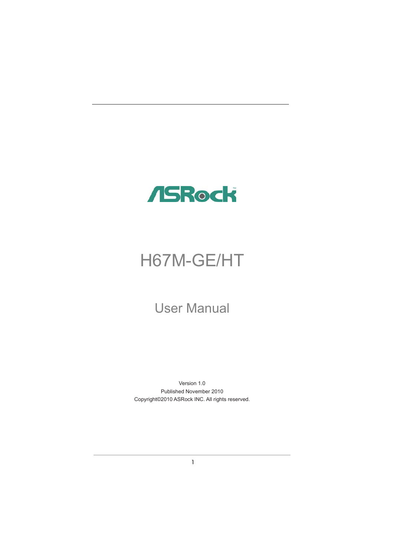

# H67M-GE/HT

# User Manual

Version 1.0 Published November 2010 Copyright©2010 ASRock INC. All rights reserved.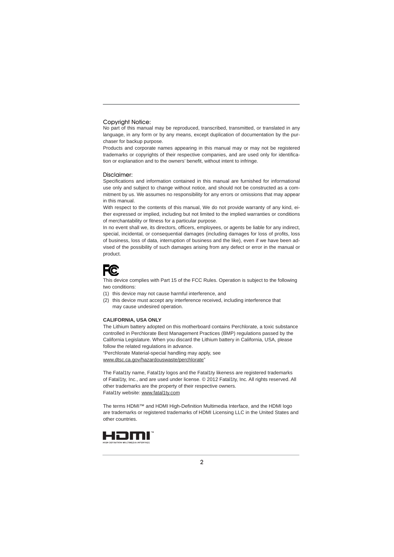#### Copyright Notice:

No part of this manual may be reproduced, transcribed, transmitted, or translated in any language, in any form or by any means, except duplication of documentation by the purchaser for backup purpose.

Products and corporate names appearing in this manual may or may not be registered trademarks or copyrights of their respective companies, and are used only for identification or explanation and to the owners' benefit, without intent to infringe.

#### Disclaimer:

Specifications and information contained in this manual are furnished for informational use only and subject to change without notice, and should not be constructed as a commitment by us. We assumes no responsibility for any errors or omissions that may appear in this manual.

With respect to the contents of this manual, We do not provide warranty of any kind, either expressed or implied, including but not limited to the implied warranties or conditions of merchantability or fitness for a particular purpose.

In no event shall we, its directors, officers, employees, or agents be liable for any indirect, special, incidental, or consequential damages (including damages for loss of profits, loss of business, loss of data, interruption of business and the like), even if we have been advised of the possibility of such damages arising from any defect or error in the manual or product.

# **FC**

This device complies with Part 15 of the FCC Rules. Operation is subject to the following two conditions:

(1) this device may not cause harmful interference, and

(2) this device must accept any interference received, including interference that may cause undesired operation.

#### **CALIFORNIA, USA ONLY**

The Lithium battery adopted on this motherboard contains Perchlorate, a toxic substance controlled in Perchlorate Best Management Practices (BMP) regulations passed by the California Legislature. When you discard the Lithium battery in California, USA, please follow the related regulations in advance. "Perchlorate Material-special handling may apply, see www.dtsc.ca.gov/hazardouswaste/perchlorate"

The Fatal1ty name, Fatal1ty logos and the Fatal1ty likeness are registered trademarks of Fatal1ty, Inc., and are used under license. © 2012 Fatal1ty, Inc. All rights reserved. All other trademarks are the property of their respective owners. Fatal1ty website: www.fatal1ty.com

The terms HDMI™ and HDMI High-Definition Multimedia Interface, and the HDMI logo are trademarks or registered trademarks of HDMI Licensing LLC in the United States and other countries.

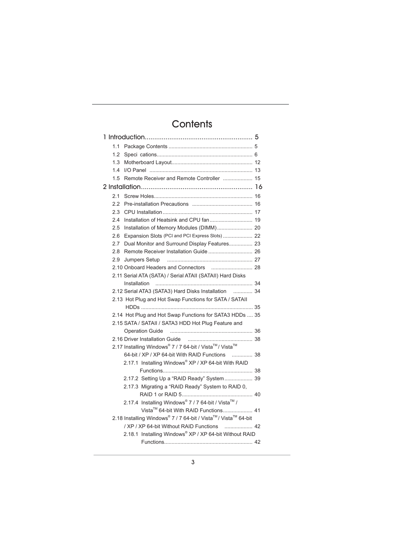## **Contents**

| 1.1 |                                                               |  |
|-----|---------------------------------------------------------------|--|
| 1.2 |                                                               |  |
| 1.3 |                                                               |  |
| 1.4 |                                                               |  |
| 1.5 |                                                               |  |
|     |                                                               |  |
| 2.1 |                                                               |  |
| 2.2 |                                                               |  |
| 23  |                                                               |  |
| 2.4 |                                                               |  |
| 2.5 | Installation of Memory Modules (DIMM) 20                      |  |
| 2.6 | Expansion Slots (PCI and PCI Express Slots)  22               |  |
| 2.7 | Dual Monitor and Surround Display Features 23                 |  |
| 2.8 |                                                               |  |
| 2.9 | Jumpers Setup                                                 |  |
|     |                                                               |  |
|     | 2.11 Serial ATA (SATA) / Serial ATAII (SATAII) Hard Disks     |  |
|     |                                                               |  |
|     | 2.12 Serial ATA3 (SATA3) Hard Disks Installation  34          |  |
|     | 2.13 Hot Plug and Hot Swap Functions for SATA / SATAII        |  |
|     |                                                               |  |
|     | 2.14 Hot Plug and Hot Swap Functions for SATA3 HDDs  35       |  |
|     | 2.15 SATA / SATAII / SATA3 HDD Hot Plug Feature and           |  |
|     | Operation Guide                                               |  |
|     |                                                               |  |
|     | 2.17 Installing Windows® 7 / 7 64-bit / Vista™/ Vista™        |  |
|     | 64-bit / XP / XP 64-bit With RAID Functions<br>. 38           |  |
|     | 2.17.1 Installing Windows® XP / XP 64-bit With RAID           |  |
|     | 2.17.2 Setting Up a "RAID Ready" System 39                    |  |
|     | 2.17.3 Migrating a "RAID Ready" System to RAID 0,             |  |
|     |                                                               |  |
|     | 2.17.4 Installing Windows® 7 / 7 64-bit / Vista™ /            |  |
|     | Vista™ 64-bit With RAID Functions 41                          |  |
|     | 2.18 Installing Windows® 7 / 7 64-bit / Vista™/ Vista™ 64-bit |  |
|     | / XP / XP 64-bit Without RAID Functions  42                   |  |
|     | 2.18.1 Installing Windows® XP / XP 64-bit Without RAID        |  |
|     |                                                               |  |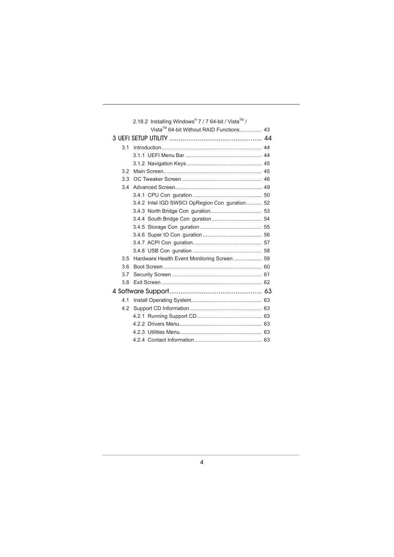|                | 2.18.2 Installing Windows® 7 / 7 64-bit / Vista™ / |  |
|----------------|----------------------------------------------------|--|
|                | Vista™ 64-bit Without RAID Functions 43            |  |
|                |                                                    |  |
| 3 <sub>1</sub> |                                                    |  |
|                |                                                    |  |
|                |                                                    |  |
| 3.2            |                                                    |  |
| 3.3            |                                                    |  |
| 34             |                                                    |  |
|                |                                                    |  |
|                | 3.4.2 Intel IGD SWSCI OpRegion Con guration 52     |  |
|                |                                                    |  |
|                |                                                    |  |
|                |                                                    |  |
|                |                                                    |  |
|                |                                                    |  |
|                |                                                    |  |
| 3.5            |                                                    |  |
| 3.6            |                                                    |  |
| 3.7            |                                                    |  |
| 3.8            |                                                    |  |
|                |                                                    |  |
| 41             |                                                    |  |
| 4.2            |                                                    |  |
|                |                                                    |  |
|                |                                                    |  |
|                |                                                    |  |
|                |                                                    |  |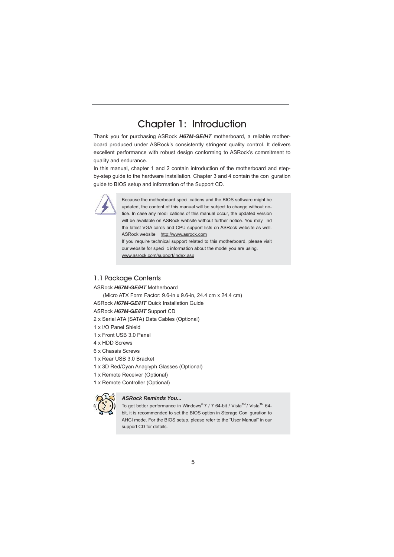### Chapter 1: Introduction

Thank you for purchasing ASRock *H67M-GE/HT* motherboard, a reliable motherboard produced under ASRock's consistently stringent quality control. It delivers excellent performance with robust design conforming to ASRock's commitment to quality and endurance.

In this manual, chapter 1 and 2 contain introduction of the motherboard and stepby-step guide to the hardware installation. Chapter 3 and 4 contain the con guration guide to BIOS setup and information of the Support CD.



Because the motherboard speci cations and the BIOS software might be updated, the content of this manual will be subject to change without notice. In case any modi cations of this manual occur, the updated version will be available on ASRock website without further notice. You may nd the latest VGA cards and CPU support lists on ASRock website as well. ASRock website http://www.asrock.com If you require technical support related to this motherboard, please visit

our website for speci c information about the model you are using. www.asrock.com/support/index.asp

#### 1.1 Package Contents

#### ASRock *H67M-GE/HT* Motherboard

 (Micro ATX Form Factor: 9.6-in x 9.6-in, 24.4 cm x 24.4 cm) ASRock *H67M-GE/HT* Quick Installation Guide

#### ASRock *H67M-GE/HT* Support CD

- 2 x Serial ATA (SATA) Data Cables (Optional)
- 1 x I/O Panel Shield
- 1 x Front USB 3.0 Panel
- 4 x HDD Screws
- 6 x Chassis Screws
- 1 x Rear USB 3.0 Bracket
- 1 x 3D Red/Cyan Anaglyph Glasses (Optional)
- 1 x Remote Receiver (Optional)
- 1 x Remote Controller (Optional)



#### *ASRock Reminds You...*

To get better performance in Windows® 7 / 7 64-bit / Vista™ / Vista™ 64bit, it is recommended to set the BIOS option in Storage Con guration to AHCI mode. For the BIOS setup, please refer to the "User Manual" in our support CD for details.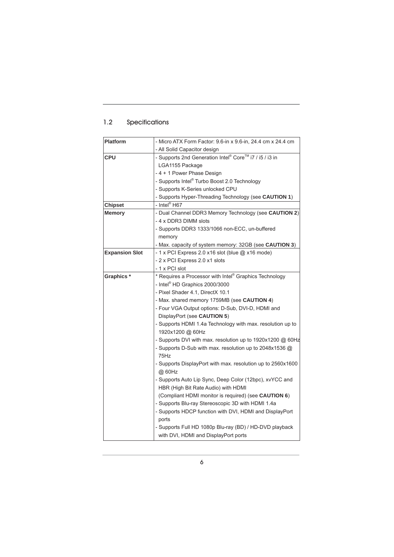### 1.2 Specifications

| <b>Platform</b>       | - Micro ATX Form Factor: 9.6-in x 9.6-in, 24.4 cm x 24.4 cm |  |  |  |
|-----------------------|-------------------------------------------------------------|--|--|--|
|                       | - All Solid Capacitor design                                |  |  |  |
| <b>CPU</b>            | - Supports 2nd Generation Intel® Core™ i7 / i5 / i3 in      |  |  |  |
|                       | LGA1155 Package                                             |  |  |  |
|                       | - 4 + 1 Power Phase Design                                  |  |  |  |
|                       | - Supports Intel® Turbo Boost 2.0 Technology                |  |  |  |
|                       | - Supports K-Series unlocked CPU                            |  |  |  |
|                       | - Supports Hyper-Threading Technology (see CAUTION 1)       |  |  |  |
| <b>Chipset</b>        | - Intel <sup>®</sup> H67                                    |  |  |  |
| <b>Memory</b>         | - Dual Channel DDR3 Memory Technology (see CAUTION 2)       |  |  |  |
|                       | - 4 x DDR3 DIMM slots                                       |  |  |  |
|                       | - Supports DDR3 1333/1066 non-ECC, un-buffered              |  |  |  |
|                       | memory                                                      |  |  |  |
|                       | - Max. capacity of system memory: 32GB (see CAUTION 3)      |  |  |  |
| <b>Expansion Slot</b> | - 1 x PCI Express 2.0 x16 slot (blue @ x16 mode)            |  |  |  |
|                       | - 2 x PCI Express 2.0 x1 slots                              |  |  |  |
|                       | - 1 x PCI slot                                              |  |  |  |
| Graphics*             | * Requires a Processor with Intel® Graphics Technology      |  |  |  |
|                       | - Intel <sup>®</sup> HD Graphics 2000/3000                  |  |  |  |
|                       | - Pixel Shader 4.1, DirectX 10.1                            |  |  |  |
|                       | - Max. shared memory 1759MB (see CAUTION 4)                 |  |  |  |
|                       | - Four VGA Output options: D-Sub, DVI-D, HDMI and           |  |  |  |
|                       | DisplayPort (see CAUTION 5)                                 |  |  |  |
|                       | - Supports HDMI 1.4a Technology with max. resolution up to  |  |  |  |
|                       | 1920x1200 @ 60Hz                                            |  |  |  |
|                       | - Supports DVI with max. resolution up to 1920x1200 @ 60Hz  |  |  |  |
|                       | - Supports D-Sub with max. resolution up to 2048x1536 @     |  |  |  |
|                       | 75Hz                                                        |  |  |  |
|                       | - Supports DisplayPort with max. resolution up to 2560x1600 |  |  |  |
|                       | @ 60Hz                                                      |  |  |  |
|                       | - Supports Auto Lip Sync, Deep Color (12bpc), xvYCC and     |  |  |  |
|                       | HBR (High Bit Rate Audio) with HDMI                         |  |  |  |
|                       | (Compliant HDMI monitor is required) (see CAUTION 6)        |  |  |  |
|                       | - Supports Blu-ray Stereoscopic 3D with HDMI 1.4a           |  |  |  |
|                       | - Supports HDCP function with DVI, HDMI and DisplayPort     |  |  |  |
|                       | ports                                                       |  |  |  |
|                       | - Supports Full HD 1080p Blu-ray (BD) / HD-DVD playback     |  |  |  |
|                       | with DVI, HDMI and DisplayPort ports                        |  |  |  |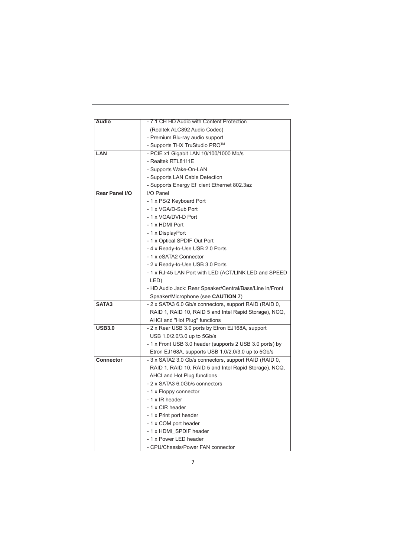|                       | - 7.1 CH HD Audio with Content Protection                |  |  |  |  |
|-----------------------|----------------------------------------------------------|--|--|--|--|
| <b>Audio</b>          |                                                          |  |  |  |  |
|                       | (Realtek ALC892 Audio Codec)                             |  |  |  |  |
|                       | - Premium Blu-ray audio support                          |  |  |  |  |
|                       | - Supports THX TruStudio PRO <sup>™</sup>                |  |  |  |  |
| LAN                   | - PCIE x1 Gigabit LAN 10/100/1000 Mb/s                   |  |  |  |  |
|                       | - Realtek RTL8111E                                       |  |  |  |  |
|                       | - Supports Wake-On-LAN                                   |  |  |  |  |
|                       | - Supports LAN Cable Detection                           |  |  |  |  |
|                       | - Supports Energy Ef cient Ethernet 802.3az              |  |  |  |  |
| <b>Rear Panel I/O</b> | I/O Panel                                                |  |  |  |  |
|                       | - 1 x PS/2 Keyboard Port                                 |  |  |  |  |
|                       | - 1 x VGA/D-Sub Port                                     |  |  |  |  |
|                       | - 1 x VGA/DVI-D Port                                     |  |  |  |  |
|                       | - 1 x HDMI Port                                          |  |  |  |  |
|                       | - 1 x DisplayPort                                        |  |  |  |  |
|                       | - 1 x Optical SPDIF Out Port                             |  |  |  |  |
|                       | -4 x Ready-to-Use USB 2.0 Ports                          |  |  |  |  |
|                       | - 1 x eSATA2 Connector                                   |  |  |  |  |
|                       | - 2 x Ready-to-Use USB 3.0 Ports                         |  |  |  |  |
|                       | - 1 x RJ-45 LAN Port with LED (ACT/LINK LED and SPEED    |  |  |  |  |
|                       | LED)                                                     |  |  |  |  |
|                       | - HD Audio Jack: Rear Speaker/Central/Bass/Line in/Front |  |  |  |  |
|                       | Speaker/Microphone (see CAUTION 7)                       |  |  |  |  |
| SATA3                 | - 2 x SATA3 6.0 Gb/s connectors, support RAID (RAID 0,   |  |  |  |  |
|                       | RAID 1, RAID 10, RAID 5 and Intel Rapid Storage), NCQ,   |  |  |  |  |
|                       | AHCI and "Hot Plug" functions                            |  |  |  |  |
| <b>USB3.0</b>         | - 2 x Rear USB 3.0 ports by Etron EJ168A, support        |  |  |  |  |
|                       | USB 1.0/2.0/3.0 up to 5Gb/s                              |  |  |  |  |
|                       | - 1 x Front USB 3.0 header (supports 2 USB 3.0 ports) by |  |  |  |  |
|                       | Etron EJ168A, supports USB 1.0/2.0/3.0 up to 5Gb/s       |  |  |  |  |
| <b>Connector</b>      | - 3 x SATA2 3.0 Gb/s connectors, support RAID (RAID 0,   |  |  |  |  |
|                       | RAID 1, RAID 10, RAID 5 and Intel Rapid Storage), NCQ,   |  |  |  |  |
|                       | AHCI and Hot Plug functions                              |  |  |  |  |
|                       | - 2 x SATA3 6.0Gb/s connectors                           |  |  |  |  |
|                       | - 1 x Floppy connector                                   |  |  |  |  |
|                       | - 1 x IR header                                          |  |  |  |  |
|                       | - 1 x CIR header                                         |  |  |  |  |
|                       | - 1 x Print port header                                  |  |  |  |  |
|                       |                                                          |  |  |  |  |
|                       | - 1 x COM port header                                    |  |  |  |  |
|                       | - 1 x HDMI_SPDIF header                                  |  |  |  |  |
|                       | - 1 x Power LED header                                   |  |  |  |  |
|                       | - CPU/Chassis/Power FAN connector                        |  |  |  |  |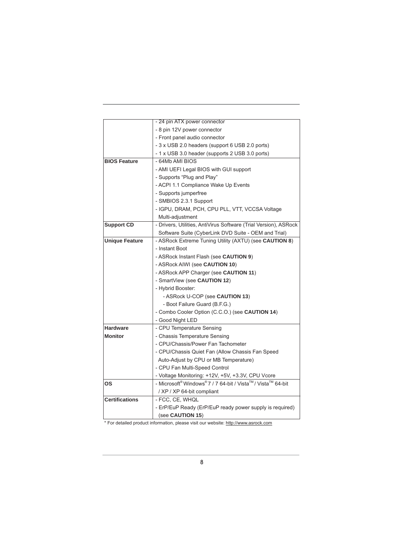|                       | - 24 pin ATX power connector                                     |  |  |  |
|-----------------------|------------------------------------------------------------------|--|--|--|
|                       | - 8 pin 12V power connector                                      |  |  |  |
|                       | - Front panel audio connector                                    |  |  |  |
|                       | - 3 x USB 2.0 headers (support 6 USB 2.0 ports)                  |  |  |  |
|                       | - 1 x USB 3.0 header (supports 2 USB 3.0 ports)                  |  |  |  |
| <b>BIOS Feature</b>   | - 64Mb AMI BIOS                                                  |  |  |  |
|                       | - AMI UEFI Legal BIOS with GUI support                           |  |  |  |
|                       | - Supports "Plug and Play"                                       |  |  |  |
|                       | - ACPI 1.1 Compliance Wake Up Events                             |  |  |  |
|                       | - Supports jumperfree                                            |  |  |  |
|                       | - SMBIOS 2.3.1 Support                                           |  |  |  |
|                       | - IGPU, DRAM, PCH, CPU PLL, VTT, VCCSA Voltage                   |  |  |  |
|                       | Multi-adjustment                                                 |  |  |  |
| <b>Support CD</b>     | - Drivers, Utilities, AntiVirus Software (Trial Version), ASRock |  |  |  |
|                       | Software Suite (CyberLink DVD Suite - OEM and Trial)             |  |  |  |
| <b>Unique Feature</b> | - ASRock Extreme Tuning Utility (AXTU) (see CAUTION 8)           |  |  |  |
|                       | - Instant Boot                                                   |  |  |  |
|                       | - ASRock Instant Flash (see CAUTION 9)                           |  |  |  |
|                       | - ASRock AIWI (see CAUTION 10)                                   |  |  |  |
|                       | - ASRock APP Charger (see CAUTION 11)                            |  |  |  |
|                       | - SmartView (see CAUTION 12)                                     |  |  |  |
|                       | - Hybrid Booster:                                                |  |  |  |
|                       | - ASRock U-COP (see CAUTION 13)                                  |  |  |  |
|                       | - Boot Failure Guard (B.F.G.)                                    |  |  |  |
|                       | - Combo Cooler Option (C.C.O.) (see CAUTION 14)                  |  |  |  |
|                       | - Good Night LED                                                 |  |  |  |
| <b>Hardware</b>       | - CPU Temperature Sensing                                        |  |  |  |
| <b>Monitor</b>        | - Chassis Temperature Sensing                                    |  |  |  |
|                       | - CPU/Chassis/Power Fan Tachometer                               |  |  |  |
|                       | - CPU/Chassis Quiet Fan (Allow Chassis Fan Speed                 |  |  |  |
|                       | Auto-Adjust by CPU or MB Temperature)                            |  |  |  |
|                       | - CPU Fan Multi-Speed Control                                    |  |  |  |
|                       | - Voltage Monitoring: +12V, +5V, +3.3V, CPU Vcore                |  |  |  |
| OS                    | - Microsoft® Windows® 7 / 7 64-bit / Vista™/ Vista™ 64-bit       |  |  |  |
|                       | / XP / XP 64-bit compliant                                       |  |  |  |
| <b>Certifications</b> | - FCC, CE, WHQL                                                  |  |  |  |
|                       | - ErP/EuP Ready (ErP/EuP ready power supply is required)         |  |  |  |
|                       | (see CAUTION 15)                                                 |  |  |  |

\* For detailed product information, please visit our website: http://www.asrock.com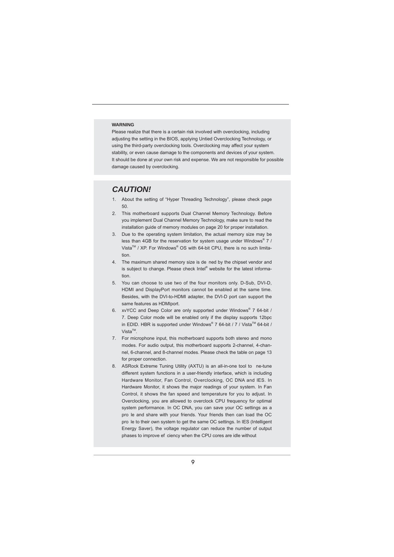#### **WARNING**

 Please realize that there is a certain risk involved with overclocking, including adjusting the setting in the BIOS, applying Untied Overclocking Technology, or using the third-party overclocking tools. Overclocking may affect your system stability, or even cause damage to the components and devices of your system. It should be done at your own risk and expense. We are not responsible for possible damage caused by overclocking.

#### *CAUTION!*

- 1. About the setting of "Hyper Threading Technology", please check page 50.
- 2. This motherboard supports Dual Channel Memory Technology. Before you implement Dual Channel Memory Technology, make sure to read the installation guide of memory modules on page 20 for proper installation.
- 3. Due to the operating system limitation, the actual memory size may be less than 4GB for the reservation for system usage under Windows® 7 / Vista<sup>™</sup> / XP. For Windows<sup>®</sup> OS with 64-bit CPU, there is no such limitation.
- 4. The maximum shared memory size is de ned by the chipset vendor and is subject to change. Please check Intel® website for the latest information.
- 5. You can choose to use two of the four monitors only. D-Sub, DVI-D, HDMI and DisplayPort monitors cannot be enabled at the same time. Besides, with the DVI-to-HDMI adapter, the DVI-D port can support the same features as HDMIport.
- 6. xvYCC and Deep Color are only supported under Windows® 7 64-bit / 7. Deep Color mode will be enabled only if the display supports 12bpc in EDID. HBR is supported under Windows® 7 64-bit / 7 / Vista $^{TM}$  64-bit /  $Vista^{TM}$
- 7. For microphone input, this motherboard supports both stereo and mono modes. For audio output, this motherboard supports 2-channel, 4-channel, 6-channel, and 8-channel modes. Please check the table on page 13 for proper connection.
- 8. ASRock Extreme Tuning Utility (AXTU) is an all-in-one tool to ne-tune different system functions in a user-friendly interface, which is including Hardware Monitor, Fan Control, Overclocking, OC DNA and IES. In Hardware Monitor, it shows the major readings of your system. In Fan Control, it shows the fan speed and temperature for you to adjust. In Overclocking, you are allowed to overclock CPU frequency for optimal system performance. In OC DNA, you can save your OC settings as a pro le and share with your friends. Your friends then can load the OC pro le to their own system to get the same OC settings. In IES (Intelligent Energy Saver), the voltage regulator can reduce the number of output phases to improve ef ciency when the CPU cores are idle without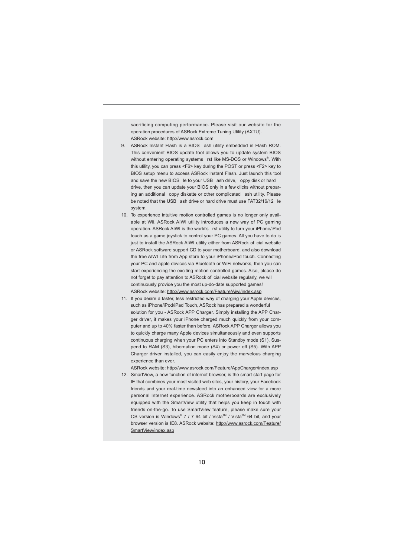sacrificing computing performance. Please visit our website for the operation procedures of ASRock Extreme Tuning Utility (AXTU). ASRock website: http://www.asrock.com

- 9. ASRock Instant Flash is a BIOS ash utility embedded in Flash ROM. This convenient BIOS update tool allows you to update system BIOS without entering operating systems rst like MS-DOS or Windows®. With this utility, you can press <F6> key during the POST or press <F2> key to BIOS setup menu to access ASRock Instant Flash. Just launch this tool and save the new BIOS le to your USB ash drive, oppy disk or hard drive, then you can update your BIOS only in a few clicks without preparing an additional oppy diskette or other complicated ash utility. Please be noted that the USB ash drive or hard drive must use FAT32/16/12 le system.
- 10. To experience intuitive motion controlled games is no longer only available at Wii. ASRock AIWI utility introduces a new way of PC gaming operation. ASRock AIWI is the world's rst utility to turn your iPhone/iPod touch as a game joystick to control your PC games. All you have to do is just to install the ASRock AIWI utility either from ASRock of cial website or ASRock software support CD to your motherboard, and also download the free AIWI Lite from App store to your iPhone/iPod touch. Connecting your PC and apple devices via Bluetooth or WiFi networks, then you can start experiencing the exciting motion controlled games. Also, please do not forget to pay attention to ASRock of cial website regularly, we will continuously provide you the most up-do-date supported games! ASRock website: http://www.asrock.com/Feature/Aiwi/index.asp
- 11. If you desire a faster, less restricted way of charging your Apple devices, such as iPhone/iPod/iPad Touch, ASRock has prepared a wonderful solution for you - ASRock APP Charger. Simply installing the APP Charger driver, it makes your iPhone charged much quickly from your computer and up to 40% faster than before. ASRock APP Charger allows you to quickly charge many Apple devices simultaneously and even supports continuous charging when your PC enters into Standby mode (S1), Suspend to RAM (S3), hibernation mode (S4) or power off (S5). With APP Charger driver installed, you can easily enjoy the marvelous charging experience than ever.

ASRock website: http://www.asrock.com/Feature/AppCharger/index.asp

12. SmartView, a new function of internet browser, is the smart start page for IE that combines your most visited web sites, your history, your Facebook friends and your real-time newsfeed into an enhanced view for a more personal Internet experience. ASRock motherboards are exclusively equipped with the SmartView utility that helps you keep in touch with friends on-the-go. To use SmartView feature, please make sure your OS version is Windows® 7 / 7 64 bit / Vista™ / Vista™ 64 bit, and your browser version is IE8. ASRock website: http://www.asrock.com/Feature/ SmartView/index.asp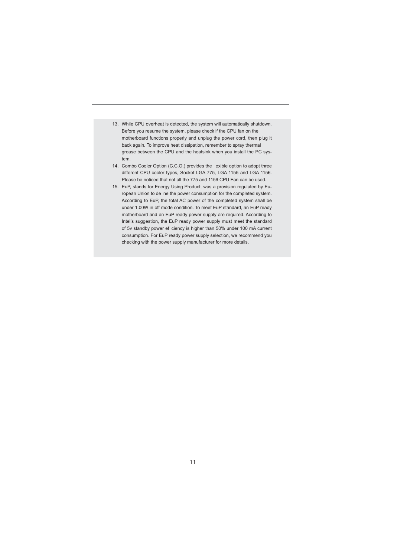- 13. While CPU overheat is detected, the system will automatically shutdown. Before you resume the system, please check if the CPU fan on the motherboard functions properly and unplug the power cord, then plug it back again. To improve heat dissipation, remember to spray thermal grease between the CPU and the heatsink when you install the PC system.
- 14. Combo Cooler Option (C.C.O.) provides the exible option to adopt three different CPU cooler types, Socket LGA 775, LGA 1155 and LGA 1156. Please be noticed that not all the 775 and 1156 CPU Fan can be used.
- 15. EuP, stands for Energy Using Product, was a provision regulated by European Union to de ne the power consumption for the completed system. According to EuP, the total AC power of the completed system shall be under 1.00W in off mode condition. To meet EuP standard, an EuP ready motherboard and an EuP ready power supply are required. According to Intel's suggestion, the EuP ready power supply must meet the standard of 5v standby power ef ciency is higher than 50% under 100 mA current consumption. For EuP ready power supply selection, we recommend you checking with the power supply manufacturer for more details.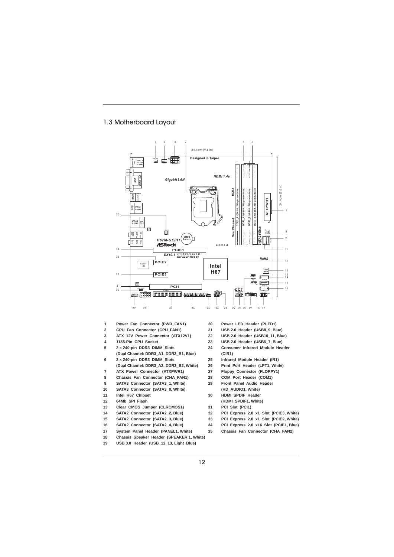#### 1.3 Motherboard Layout



- **1 Power Fan Connector (PWR\_FAN1) 20 Power LED Header (PLED1)**
- **2 CPU Fan Connector (CPU\_FAN1) 21 USB 2.0 Header (USB8\_9, Blue)**
- **3 ATX 12V Power Connector (ATX12V1) 22 USB 2.0 Header (USB10\_11, Blue)**
- 
- 
- **(Dual Channel: DDR3\_A1, DDR3\_B1, Blue) (CIR1)**
- **(Dual Channel: DDR3\_A2, DDR3\_B2, White) 26 Print Port Header (LPT1, White)**
- **7 ATX Power Connector (ATXPWR1) 27 Floppy Connector (FLOPPY1)**
- 
- 
- 
- 
- **13 Clear CMOS Jumper (CLRCMOS1) 31 PCI Slot (PCI1)**
- 
- 
- 
- 17 System Panel Header (PANEL1, White)
- 
- 
- 
- 
- 
- 
- **4 1155-Pin CPU Socket 23 USB 2.0 Header (USB6\_7, Blue)**
- **5 2 x 240-pin DDR3 DIMM Slots 24 Consumer Infrared Module Header** 
	-
- **6 2 x 240-pin DDR3 DIMM Slots 25 Infrared Module Header (IR1)**
	-
	-
- **8 Chassis Fan Connector (CHA\_FAN1) 28 COM Port Header (COM1)**
- **9 SATA3 Connector (SATA3\_1, White) 29 Front Panel Audio Header 10 SATA3 Connector (SATA3\_0, White) (HD\_AUDIO1, White)**
- **11 Intel H67 Chipset 30 HDMI\_SPDIF Header**
- **12 64Mb SPI Flash (HDMI\_SPDIF1, White)**
	-
- **14 SATA2 Connector (SATA2\_2, Blue) 32 PCI Express 2.0 x1 Slot (PCIE3, White)**
- **15 SATA2 Connector (SATA2\_3, Blue) 33 PCI Express 2.0 x1 Slot (PCIE2, White)**
	-
- **16 SATA2 Connector (SATA2\_4, Blue) 34 PCI Express 2.0 x16 Slot (PCIE1, Blue)**
- **18 Chassis Speaker Header (SPEAKER 1, White)**
- **19 USB 3.0 Header (USB\_12\_13, Light Blue)** 
	- 12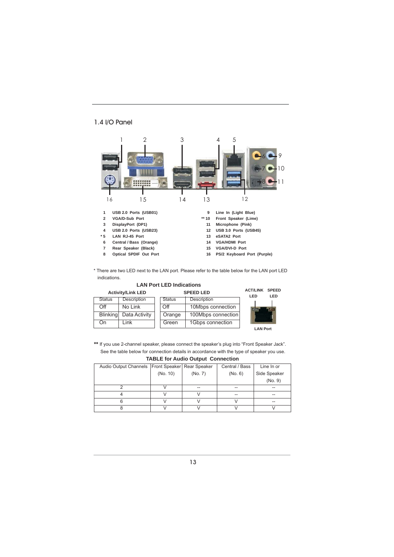#### 1.4 I/O Panel



\* There are two LED next to the LAN port. Please refer to the table below for the LAN port LED indications.

| <b>Activity/Link LED</b><br><b>SPEED LED</b> |                    |               |                    |                 | <b>SPEED</b><br><b>LED</b> |
|----------------------------------------------|--------------------|---------------|--------------------|-----------------|----------------------------|
| <b>Status</b>                                | Description        | <b>Status</b> | Description        |                 |                            |
| Off                                          | No Link            | $\bigcirc$ ff | 10Mbps connection  |                 |                            |
| <b>Blinking</b>                              | Data Activity      | Orange        | 100Mbps connection |                 |                            |
| On                                           | $_{\mathsf{Link}}$ | Green         | 1Gbps connection   |                 |                            |
|                                              |                    |               |                    | <b>LAN Port</b> |                            |

**\*\*** If you use 2-channel speaker, please connect the speaker's plug into "Front Speaker Jack". See the table below for connection details in accordance with the type of speaker you use.

| 1.1                                                  |          |         |                |              |  |  |
|------------------------------------------------------|----------|---------|----------------|--------------|--|--|
| Audio Output Channels   Front Speaker   Rear Speaker |          |         | Central / Bass | Line In or   |  |  |
|                                                      | (No. 10) | (No. 7) | (No. 6)        | Side Speaker |  |  |
|                                                      |          |         |                | (No. 9)      |  |  |
|                                                      |          | --      | --             |              |  |  |
|                                                      |          |         | --             |              |  |  |
| 6                                                    |          |         |                |              |  |  |
|                                                      |          |         |                |              |  |  |

### **TABLE for Audio Output Connection**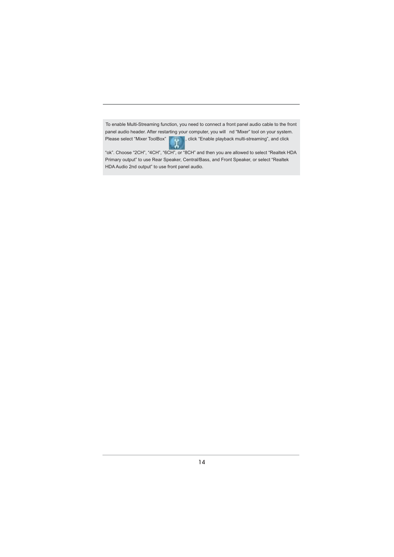To enable Multi-Streaming function, you need to connect a front panel audio cable to the front panel audio header. After restarting your computer, you will nd "Mixer" tool on your system. Please select "Mixer ToolBox" , click "Enable playback multi-streaming", and click

 "ok". Choose "2CH", "4CH", "6CH", or "8CH" and then you are allowed to select "Realtek HDA Primary output" to use Rear Speaker, Central/Bass, and Front Speaker, or select "Realtek HDA Audio 2nd output" to use front panel audio.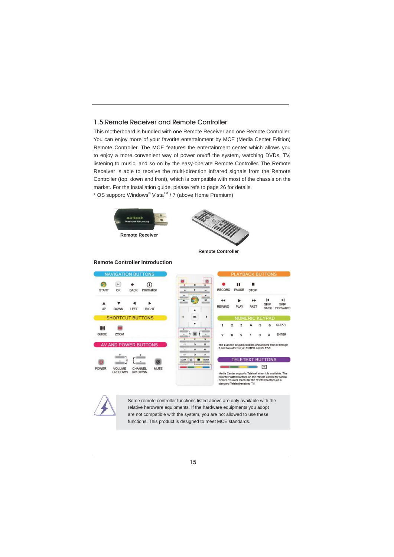#### 1.5 Remote Receiver and Remote Controller

This motherboard is bundled with one Remote Receiver and one Remote Controller. You can enjoy more of your favorite entertainment by MCE (Media Center Edition) Remote Controller. The MCE features the entertainment center which allows you to enjoy a more convenient way of power on/off the system, watching DVDs, TV, listening to music, and so on by the easy-operate Remote Controller. The Remote Receiver is able to receive the multi-direction infrared signals from the Remote Controller (top, down and front), which is compatible with most of the chassis on the market. For the installation guide, please refe to page 26 for details. \* OS support: Windows<sup>®</sup> Vista<sup>™</sup> / 7 (above Home Premium)



**Remote Controller Introduction**



**Remote Controller**

.<br>ARD

#### **NAVICATION BUTTONS ACK BUTTOMS**  $\bullet$  $\overline{\mathbf{z}}$  $\odot$ ě п START ox BACK Information RECORD PAUSE stop ä.  $\overline{1}$ A ٠ ٠ b SKIP REWIND FAST **PLAY**  $\mathsf{U} \mathsf{P}$ DOWN LEFT RIGHT  $FQ$ **SHORTCUT BUTTONS** CLEAR 6 国 冊 GUIDE ZOOM ENTER  $\alpha$  $\overline{a}$ AV AND POWER BUTTONS ists of nu mbers fro<br>CLEAR m O thro TELETEXT BUTTONS O Ø  $\Box$ POWER VOLUME<br>UP/DOWN CHANNEL<br>UP/DOWN MUTE dia Center supports Teletext when it is available. The<br>ored Fastext buttons on the remote control for Media<br>nier PC work much like the Teletext buttons on a<br>ndard Teletext-enabled TV. Some remote controller functions listed above are only available with the

relative hardware equipments. If the hardware equipments you adopt are not compatible with the system, you are not allowed to use these functions. This product is designed to meet MCE standards.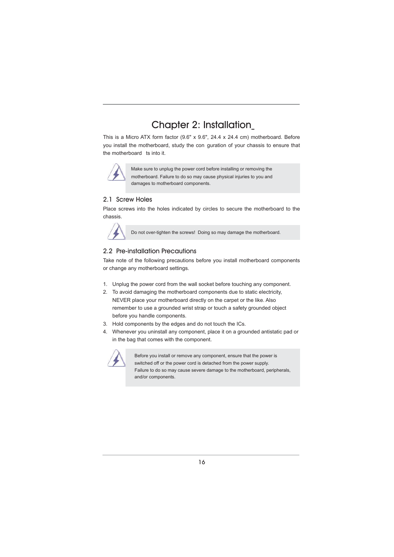### Chapter 2: Installation

This is a Micro ATX form factor (9.6" x 9.6", 24.4 x 24.4 cm) motherboard. Before you install the motherboard, study the con guration of your chassis to ensure that the motherboard ts into it.



Make sure to unplug the power cord before installing or removing the motherboard. Failure to do so may cause physical injuries to you and damages to motherboard components.

### 2.1 Screw Holes

Place screws into the holes indicated by circles to secure the motherboard to the chassis.



Do not over-tighten the screws! Doing so may damage the motherboard.

#### 2.2 Pre-installation Precautions

Take note of the following precautions before you install motherboard components or change any motherboard settings.

- 1. Unplug the power cord from the wall socket before touching any component.
- 2. To avoid damaging the motherboard components due to static electricity, NEVER place your motherboard directly on the carpet or the like. Also remember to use a grounded wrist strap or touch a safety grounded object before you handle components.
- 3. Hold components by the edges and do not touch the ICs.
- 4. Whenever you uninstall any component, place it on a grounded antistatic pad or in the bag that comes with the component.



 Before you install or remove any component, ensure that the power is switched off or the power cord is detached from the power supply. Failure to do so may cause severe damage to the motherboard, peripherals, and/or components.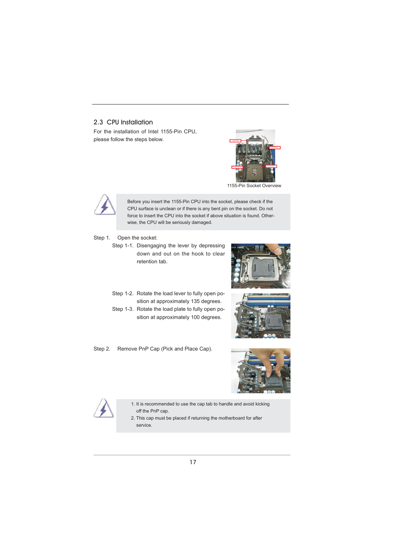#### 2.3 CPU Installation

For the installation of Intel 1155-Pin CPU, please follow the steps below.



1155-Pin Socket Overview



Before you insert the 1155-Pin CPU into the socket, please check if the CPU surface is unclean or if there is any bent pin on the socket. Do not force to insert the CPU into the socket if above situation is found. Otherwise, the CPU will be seriously damaged.

- Step 1. Open the socket:
	- Step 1-1. Disengaging the lever by depressing down and out on the hook to clear retention tab.



- Step 1-2. Rotate the load lever to fully open position at approximately 135 degrees.
- Step 1-3. Rotate the load plate to fully open position at approximately 100 degrees.







1. It is recommended to use the cap tab to handle and avoid kicking off the PnP cap.

2. This cap must be placed if returning the motherboard for after service.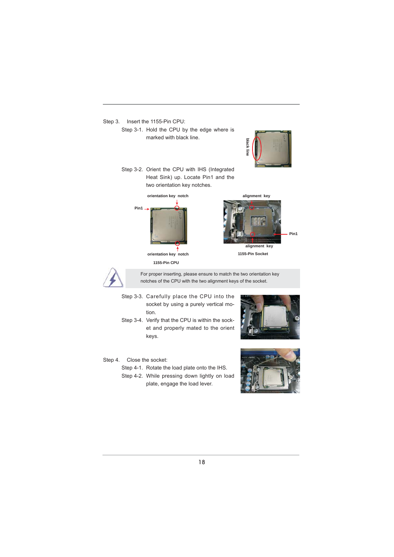

- Step 4. Close the socket:
	- Step 4-1. Rotate the load plate onto the IHS.
	- Step 4-2. While pressing down lightly on load plate, engage the load lever.

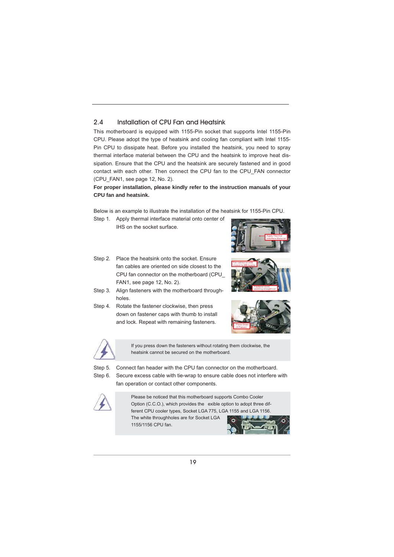#### 2.4 Installation of CPU Fan and Heatsink

This motherboard is equipped with 1155-Pin socket that supports Intel 1155-Pin CPU. Please adopt the type of heatsink and cooling fan compliant with Intel 1155- Pin CPU to dissipate heat. Before you installed the heatsink, you need to spray thermal interface material between the CPU and the heatsink to improve heat dissipation. Ensure that the CPU and the heatsink are securely fastened and in good contact with each other. Then connect the CPU fan to the CPU\_FAN connector (CPU\_FAN1, see page 12, No. 2).

#### **For proper installation, please kindly refer to the instruction manuals of your CPU fan and heatsink.**

Below is an example to illustrate the installation of the heatsink for 1155-Pin CPU.

Step 1. Apply thermal interface material onto center of





Step 2. Place the heatsink onto the socket. Ensure fan cables are oriented on side closest to the CPU fan connector on the motherboard (CPU\_ FAN1, see page 12, No. 2).



- Step 3. Align fasteners with the motherboard throughholes.
- Step 4. Rotate the fastener clockwise, then press down on fastener caps with thumb to install and lock. Repeat with remaining fasteners.





If you press down the fasteners without rotating them clockwise, the heatsink cannot be secured on the motherboard.

Step 5. Connect fan header with the CPU fan connector on the motherboard.

Step 6. Secure excess cable with tie-wrap to ensure cable does not interfere with fan operation or contact other components.



Please be noticed that this motherboard supports Combo Cooler Option (C.C.O.), which provides the exible option to adopt three different CPU cooler types, Socket LGA 775, LGA 1155 and LGA 1156. The white throughholes are for Socket LGA 1155/1156 CPU fan.

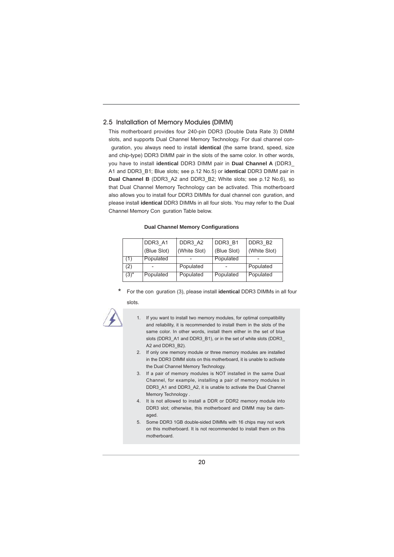#### 2.5 Installation of Memory Modules (DIMM)

This motherboard provides four 240-pin DDR3 (Double Data Rate 3) DIMM slots, and supports Dual Channel Memory Technology. For dual channel con guration, you always need to install **identical** (the same brand, speed, size and chip-type) DDR3 DIMM pair in the slots of the same color. In other words, you have to install **identical** DDR3 DIMM pair in **Dual Channel A** (DDR3\_ A1 and DDR3\_B1; Blue slots; see p.12 No.5) or **identical** DDR3 DIMM pair in **Dual Channel B** (DDR3\_A2 and DDR3\_B2; White slots; see p.12 No.6), so that Dual Channel Memory Technology can be activated. This motherboard also allows you to install four DDR3 DIMMs for dual channel con guration, and please install **identical** DDR3 DIMMs in all four slots. You may refer to the Dual Channel Memory Con guration Table below.

#### **Dual Channel Memory Configurations**

|           | DDR3 A1     | DDR3 A2      | DDR3 B1     | DDR3 B2      |
|-----------|-------------|--------------|-------------|--------------|
|           | (Blue Slot) | (White Slot) | (Blue Slot) | (White Slot) |
| (1)       | Populated   |              | Populated   |              |
| (2)       |             | Populated    |             | Populated    |
| $(3)^{*}$ | Populated   | Populated    | Populated   | Populated    |

\* For the con guration (3), please install **identical** DDR3 DIMMs in all four slots.



- 1. If you want to install two memory modules, for optimal compatibility and reliability, it is recommended to install them in the slots of the same color. In other words, install them either in the set of blue slots (DDR3\_A1 and DDR3\_B1), or in the set of white slots (DDR3\_ A2 and DDR3 B2).
- 2. If only one memory module or three memory modules are installed in the DDR3 DIMM slots on this motherboard, it is unable to activate the Dual Channel Memory Technology.
- 3. If a pair of memory modules is NOT installed in the same Dual Channel, for example, installing a pair of memory modules in DDR3\_A1 and DDR3\_A2, it is unable to activate the Dual Channel Memory Technology .
- 4. It is not allowed to install a DDR or DDR2 memory module into DDR3 slot; otherwise, this motherboard and DIMM may be damaged.
- 5. Some DDR3 1GB double-sided DIMMs with 16 chips may not work on this motherboard. It is not recommended to install them on this motherboard.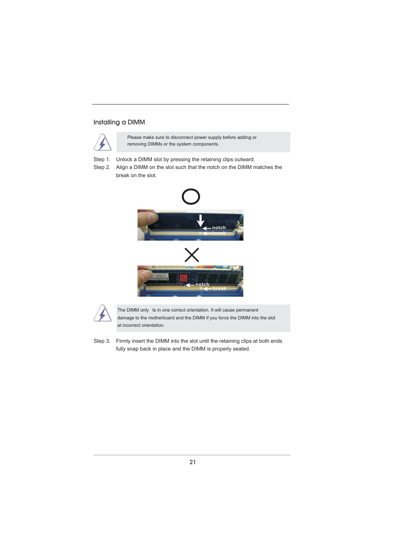#### Installing a DIMM



Please make sure to disconnect power supply before adding or removing DIMMs or the system components.

Step 1. Unlock a DIMM slot by pressing the retaining clips outward.

Step 2. Align a DIMM on the slot such that the notch on the DIMM matches the break on the slot.





 The DIMM only ts in one correct orientation. It will cause permanent damage to the motherboard and the DIMM if you force the DIMM into the slot at incorrect orientation.

Step 3. Firmly insert the DIMM into the slot until the retaining clips at both ends fully snap back in place and the DIMM is properly seated.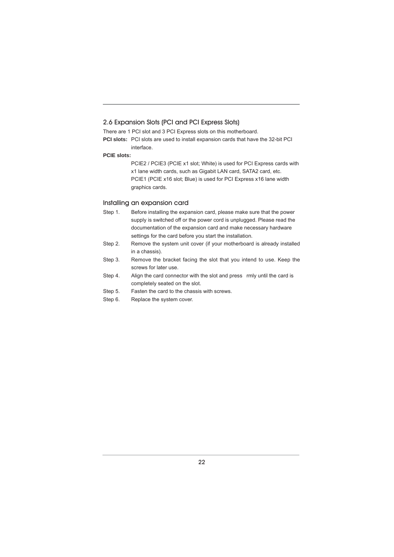#### 2.6 Expansion Slots (PCI and PCI Express Slots)

There are 1 PCI slot and 3 PCI Express slots on this motherboard.

**PCI slots:** PCI slots are used to install expansion cards that have the 32-bit PCI interface.

#### **PCIE slots:**

PCIE2 / PCIE3 (PCIE x1 slot; White) is used for PCI Express cards with x1 lane width cards, such as Gigabit LAN card, SATA2 card, etc. PCIE1 (PCIE x16 slot; Blue) is used for PCI Express x16 lane width graphics cards.

#### Installing an expansion card

Step 1. Before installing the expansion card, please make sure that the power supply is switched off or the power cord is unplugged. Please read the documentation of the expansion card and make necessary hardware settings for the card before you start the installation.

- Step 2. Remove the system unit cover (if your motherboard is already installed in a chassis).
- Step 3. Remove the bracket facing the slot that you intend to use. Keep the screws for later use.
- Step 4. Align the card connector with the slot and press rmly until the card is completely seated on the slot.
- Step 5. Fasten the card to the chassis with screws.
- Step 6. Replace the system cover.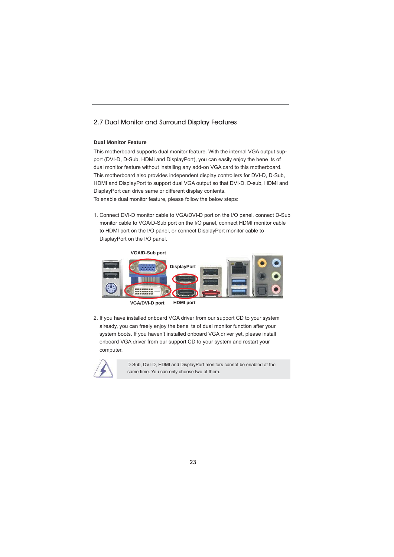#### 2.7 Dual Monitor and Surround Display Features

#### **Dual Monitor Feature**

This motherboard supports dual monitor feature. With the internal VGA output support (DVI-D, D-Sub, HDMI and DisplayPort), you can easily enjoy the bene ts of dual monitor feature without installing any add-on VGA card to this motherboard. This motherboard also provides independent display controllers for DVI-D, D-Sub, HDMI and DisplayPort to support dual VGA output so that DVI-D, D-sub, HDMI and DisplayPort can drive same or different display contents. To enable dual monitor feature, please follow the below steps:

1. Connect DVI-D monitor cable to VGA/DVI-D port on the I/O panel, connect D-Sub monitor cable to VGA/D-Sub port on the I/O panel, connect HDMI monitor cable to HDMI port on the I/O panel, or connect DisplayPort monitor cable to DisplayPort on the I/O panel.



**HDMI port VGA/DVI-D port**

2. If you have installed onboard VGA driver from our support CD to your system already, you can freely enjoy the bene ts of dual monitor function after your system boots. If you haven't installed onboard VGA driver yet, please install onboard VGA driver from our support CD to your system and restart your computer.



D-Sub, DVI-D, HDMI and DisplayPort monitors cannot be enabled at the same time. You can only choose two of them.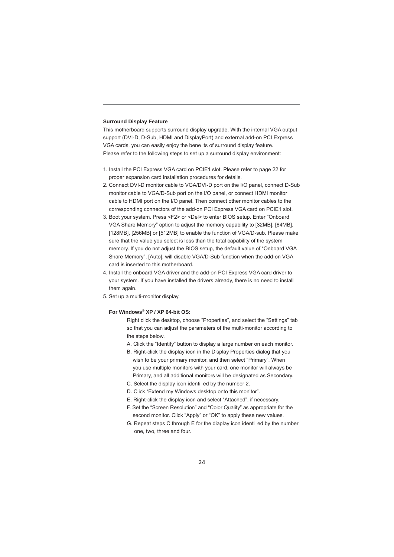#### **Surround Display Feature**

This motherboard supports surround display upgrade. With the internal VGA output support (DVI-D, D-Sub, HDMI and DisplayPort) and external add-on PCI Express VGA cards, you can easily enjoy the bene ts of surround display feature. Please refer to the following steps to set up a surround display environment:

- 1. Install the PCI Express VGA card on PCIE1 slot. Please refer to page 22 for proper expansion card installation procedures for details.
- 2. Connect DVI-D monitor cable to VGA/DVI-D port on the I/O panel, connect D-Sub monitor cable to VGA/D-Sub port on the I/O panel, or connect HDMI monitor cable to HDMI port on the I/O panel. Then connect other monitor cables to the corresponding connectors of the add-on PCI Express VGA card on PCIE1 slot.
- 3. Boot your system. Press <F2> or <Del> to enter BIOS setup. Enter "Onboard VGA Share Memory" option to adjust the memory capability to [32MB], [64MB], [128MB], [256MB] or [512MB] to enable the function of VGA/D-sub. Please make sure that the value you select is less than the total capability of the system memory. If you do not adjust the BIOS setup, the default value of "Onboard VGA Share Memory", [Auto], will disable VGA/D-Sub function when the add-on VGA card is inserted to this motherboard.
- 4. Install the onboard VGA driver and the add-on PCI Express VGA card driver to your system. If you have installed the drivers already, there is no need to install them again
- 5. Set up a multi-monitor display.

#### **For Windows® XP / XP 64-bit OS:**

 Right click the desktop, choose "Properties", and select the "Settings" tab so that you can adjust the parameters of the multi-monitor according to the steps below.

- A. Click the "Identify" button to display a large number on each monitor.
- B. Right-click the display icon in the Display Properties dialog that you wish to be your primary monitor, and then select "Primary". When you use multiple monitors with your card, one monitor will always be Primary, and all additional monitors will be designated as Secondary.
- C. Select the display icon identi ed by the number 2.
- D. Click "Extend my Windows desktop onto this monitor".
- E. Right-click the display icon and select "Attached", if necessary.
- F. Set the "Screen Resolution" and "Color Quality" as appropriate for the second monitor. Click "Apply" or "OK" to apply these new values.
- G. Repeat steps C through E for the diaplay icon identi ed by the number one, two, three and four.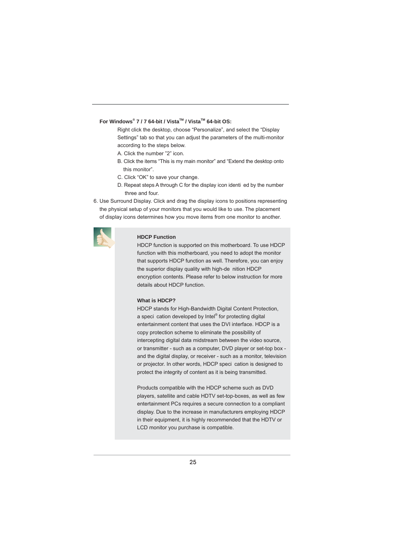#### **For Windows® 7 / 7 64-bit / VistaTM / VistaTM 64-bit OS:**

 Right click the desktop, choose "Personalize", and select the "Display Settings" tab so that you can adjust the parameters of the multi-monitor according to the steps below.

- A. Click the number "2" icon.
- B. Click the items "This is my main monitor" and "Extend the desktop onto this monitor".
- C. Click "OK" to save your change.
- D. Repeat steps A through C for the display icon identi ed by the number three and four.
- 6. Use Surround Display. Click and drag the display icons to positions representing the physical setup of your monitors that you would like to use. The placement of display icons determines how you move items from one monitor to another.



#### **HDCP Function**

 HDCP function is supported on this motherboard. To use HDCP function with this motherboard, you need to adopt the monitor that supports HDCP function as well. Therefore, you can enjoy the superior display quality with high-de nition HDCP encryption contents. Please refer to below instruction for more details about HDCP function.

#### **What is HDCP?**

 HDCP stands for High-Bandwidth Digital Content Protection, a speci cation developed by Intel® for protecting digital entertainment content that uses the DVI interface. HDCP is a copy protection scheme to eliminate the possibility of intercepting digital data midstream between the video source, or transmitter - such as a computer, DVD player or set-top box and the digital display, or receiver - such as a monitor, television or projector. In other words, HDCP speci cation is designed to protect the integrity of content as it is being transmitted.

> Products compatible with the HDCP scheme such as DVD players, satellite and cable HDTV set-top-boxes, as well as few entertainment PCs requires a secure connection to a compliant display. Due to the increase in manufacturers employing HDCP in their equipment, it is highly recommended that the HDTV or LCD monitor you purchase is compatible.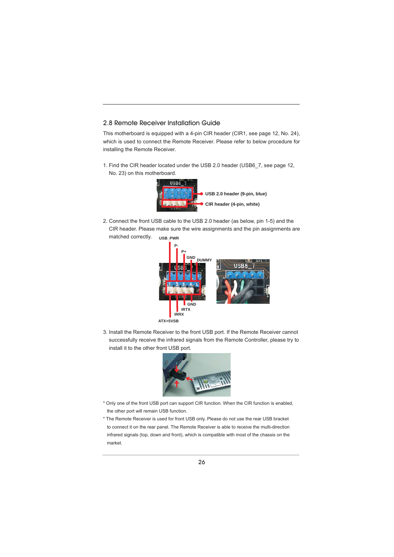#### 2.8 Remote Receiver Installation Guide

This motherboard is equipped with a 4-pin CIR header (CIR1, see page 12, No. 24), which is used to connect the Remote Receiver. Please refer to below procedure for installing the Remote Receiver.

1. Find the CIR header located under the USB 2.0 header (USB6\_7, see page 12, No. 23) on this motherboard.



2. Connect the front USB cable to the USB 2.0 header (as below, pin 1-5) and the CIR header. Please make sure the wire assignments and the pin assignments are matched correctly. **USB\_PWR**



3. Install the Remote Receiver to the front USB port. If the Remote Receiver cannot successfully receive the infrared signals from the Remote Controller, please try to install it to the other front USB port.



- \* Only one of the front USB port can support CIR function. When the CIR function is enabled, the other port will remain USB function.
- \* The Remote Receiver is used for front USB only. Please do not use the rear USB bracket to connect it on the rear panel. The Remote Receiver is able to receive the multi-direction infrared signals (top, down and front), which is compatible with most of the chassis on the market.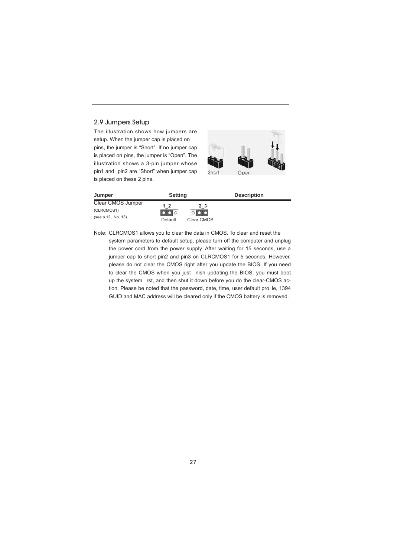#### 2.9 Jumpers Setup

The illustration shows how jumpers are setup. When the jumper cap is placed on pins, the jumper is "Short". If no jumper cap is placed on pins, the jumper is "Open". The illustration shows a 3-pin jumper whose pin1 and pin2 are "Short" when jumper cap is placed on these 2 pins.



| Jumper             | <b>Setting</b> |            | <b>Description</b> |
|--------------------|----------------|------------|--------------------|
| Clear CMOS Jumper  | $1_{2}$        | 2 3        |                    |
| (CLRCMOS1)         | οlo            |            |                    |
| (see p.12, No. 13) | Default        | Clear CMOS |                    |

Note: CLRCMOS1 allows you to clear the data in CMOS. To clear and reset the system parameters to default setup, please turn off the computer and unplug the power cord from the power supply. After waiting for 15 seconds, use a jumper cap to short pin2 and pin3 on CLRCMOS1 for 5 seconds. However, please do not clear the CMOS right after you update the BIOS. If you need to clear the CMOS when you just nish updating the BIOS, you must boot up the system rst, and then shut it down before you do the clear-CMOS action. Please be noted that the password, date, time, user default pro le, 1394 GUID and MAC address will be cleared only if the CMOS battery is removed.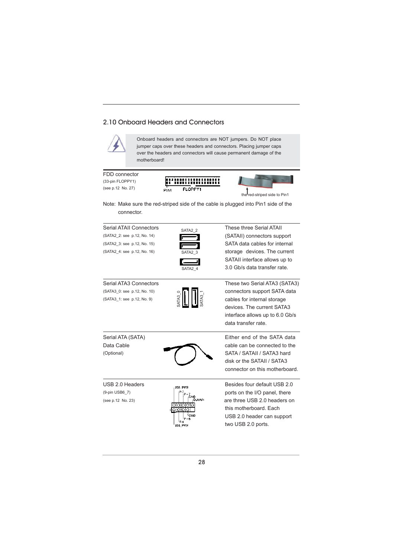#### 2.10 Onboard Headers and Connectors

Pint



Onboard headers and connectors are NOT jumpers. Do NOT place jumper caps over these headers and connectors. Placing jumper caps over the headers and connectors will cause permanent damage of the motherboard!

FDD connector (33-pin FLOPPY1) (see p.12 No. 27)



the red-striped side to Pin1

Note: Make sure the red-striped side of the cable is plugged into Pin1 side of the connector.

<u>manomano</u> **FLOPPY1** 

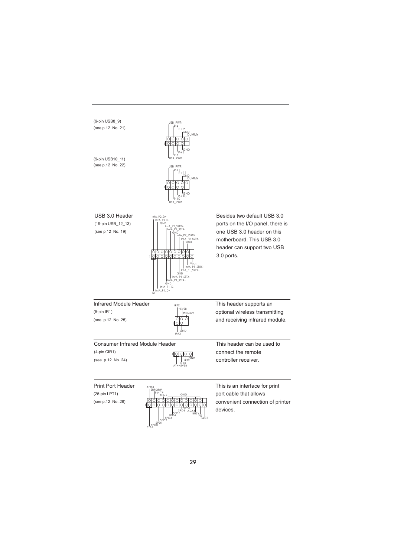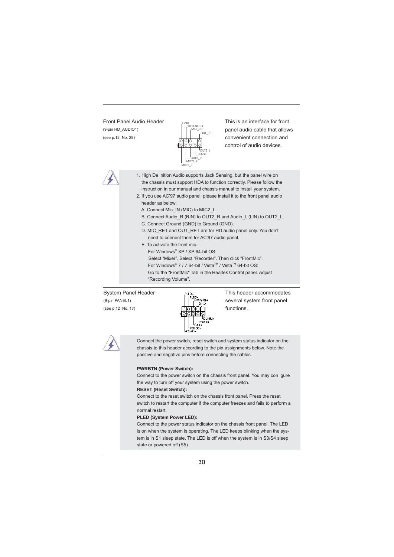

Front Panel Audio Header <sub>GND</sub> This is an interface for front  $(9-pin HD_AUDIO1)$   $\left| \begin{array}{ccc} \uparrow & \downarrow & \downarrow & \downarrow \\ \uparrow & \downarrow & \downarrow & \downarrow & \downarrow \end{array} \right|$  panel audio cable that allows (see p.12 No. 29)  $\begin{array}{c} \begin{array}{c} \begin{array}{c} \end{array} \\ \end{array}$  convenient connection and control of audio devices.



 1. High De nition Audio supports Jack Sensing, but the panel wire on the chassis must support HDA to function correctly. Please follow the instruction in our manual and chassis manual to install your system.

- 2. If you use AC'97 audio panel, please install it to the front panel audio header as below:
	- A. Connect Mic\_IN (MIC) to MIC2\_L.
	- B. Connect Audio\_R (RIN) to OUT2\_R and Audio\_L (LIN) to OUT2\_L.
	- C. Connect Ground (GND) to Ground (GND).
	- D. MIC\_RET and OUT\_RET are for HD audio panel only. You don't need to connect them for AC'97 audio panel.
	- E. To activate the front mic.

**For Windows**<sup>®</sup> XP / XP 64-bit OS: Select "Mixer". Select "Recorder". Then click "FrontMic".  $\blacksquare$  For Windows® 7 / 7 64-bit / Vista™ / Vista<sup>™</sup> 64-bit OS: Go to the "FrontMic" Tab in the Realtek Control panel. Adjust "Recording Volume".



System Panel Header This header accommodates (9-pin PANEL1)  $\begin{bmatrix} \begin{matrix} \text{S} \\ \text{S} \end{matrix} \end{bmatrix}$  several system front panel



 Connect the power switch, reset switch and system status indicator on the chassis to this header according to the pin assignments below. Note the positive and negative pins before connecting the cables.

#### **PWRBTN (Power Switch):**

 Connect to the power switch on the chassis front panel. You may con gure the way to turn off your system using the power switch.

#### **RESET (Reset Switch):**

 Connect to the reset switch on the chassis front panel. Press the reset switch to restart the computer if the computer freezes and fails to perform a normal restart.

#### **PLED (System Power LED):**

 Connect to the power status indicator on the chassis front panel. The LED is on when the system is operating. The LED keeps blinking when the system is in S1 sleep state. The LED is off when the system is in S3/S4 sleep state or powered off (S5).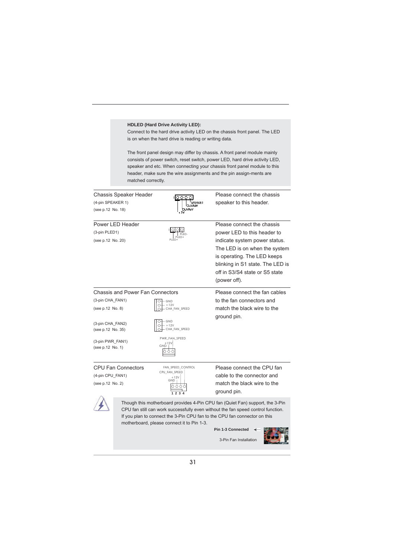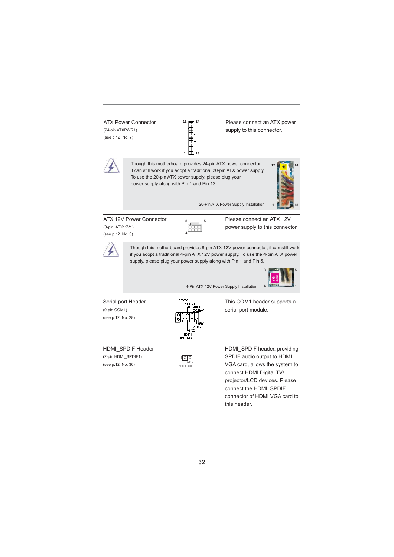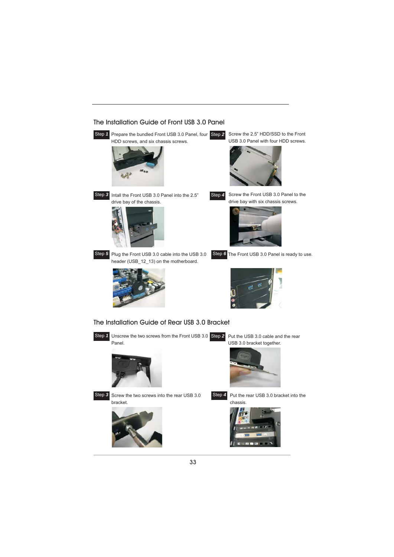

The Installation Guide of Front USB 3.0 Panel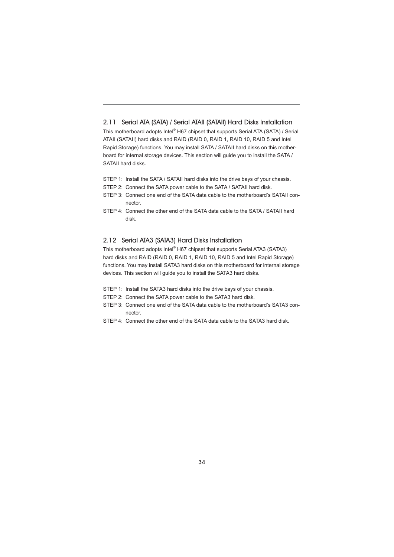#### 2.11 Serial ATA (SATA) / Serial ATAII (SATAII) Hard Disks Installation

This motherboard adopts Intel® H67 chipset that supports Serial ATA (SATA) / Serial ATAII (SATAII) hard disks and RAID (RAID 0, RAID 1, RAID 10, RAID 5 and Intel Rapid Storage) functions. You may install SATA / SATAII hard disks on this motherboard for internal storage devices. This section will guide you to install the SATA / SATAII hard disks.

STEP 1: Install the SATA / SATAII hard disks into the drive bays of your chassis.

- STEP 2: Connect the SATA power cable to the SATA / SATAII hard disk.
- STEP 3: Connect one end of the SATA data cable to the motherboard's SATAII connector.
- STEP 4: Connect the other end of the SATA data cable to the SATA / SATAII hard disk.

#### 2.12 Serial ATA3 (SATA3) Hard Disks Installation

This motherboard adopts Intel® H67 chipset that supports Serial ATA3 (SATA3) hard disks and RAID (RAID 0, RAID 1, RAID 10, RAID 5 and Intel Rapid Storage) functions. You may install SATA3 hard disks on this motherboard for internal storage devices. This section will guide you to install the SATA3 hard disks.

- STEP 1: Install the SATA3 hard disks into the drive bays of your chassis.
- STEP 2: Connect the SATA power cable to the SATA3 hard disk.
- STEP 3: Connect one end of the SATA data cable to the motherboard's SATA3 connector.
- STEP 4: Connect the other end of the SATA data cable to the SATA3 hard disk.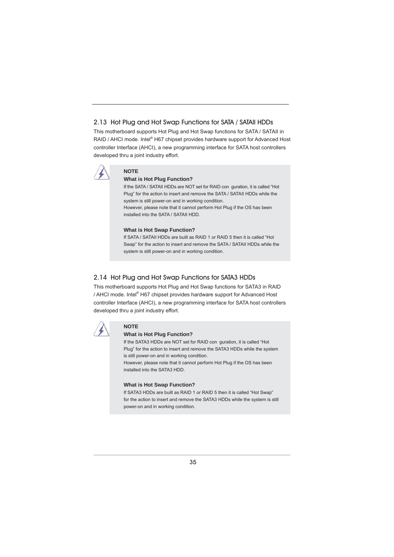#### 2.13 Hot Plug and Hot Swap Functions for SATA / SATAII HDDs

This motherboard supports Hot Plug and Hot Swap functions for SATA / SATAII in RAID / AHCI mode. Intel® H67 chipset provides hardware support for Advanced Host controller Interface (AHCI), a new programming interface for SATA host controllers developed thru a joint industry effort.



### **NOTE**

### **What is Hot Plug Function?**

If the SATA / SATAII HDDs are NOT set for RAID con guration, it is called "Hot Plug" for the action to insert and remove the SATA / SATAII HDDs while the system is still power-on and in working condition. However, please note that it cannot perform Hot Plug if the OS has been installed into the SATA / SATAII HDD.

#### **What is Hot Swap Function?**

If SATA / SATAII HDDs are built as RAID 1 or RAID 5 then it is called "Hot Swap" for the action to insert and remove the SATA / SATAII HDDs while the system is still power-on and in working condition.

#### 2.14 Hot Plug and Hot Swap Functions for SATA3 HDDs

This motherboard supports Hot Plug and Hot Swap functions for SATA3 in RAID / AHCI mode. Intel® H67 chipset provides hardware support for Advanced Host controller Interface (AHCI), a new programming interface for SATA host controllers developed thru a joint industry effort.



#### **NOTE**

#### **What is Hot Plug Function?**

If the SATA3 HDDs are NOT set for RAID con guration, it is called "Hot Plug" for the action to insert and remove the SATA3 HDDs while the system is still power-on and in working condition.

However, please note that it cannot perform Hot Plug if the OS has been installed into the SATA3 HDD.

#### **What is Hot Swap Function?**

If SATA3 HDDs are built as RAID 1 or RAID 5 then it is called "Hot Swap" for the action to insert and remove the SATA3 HDDs while the system is still power-on and in working condition.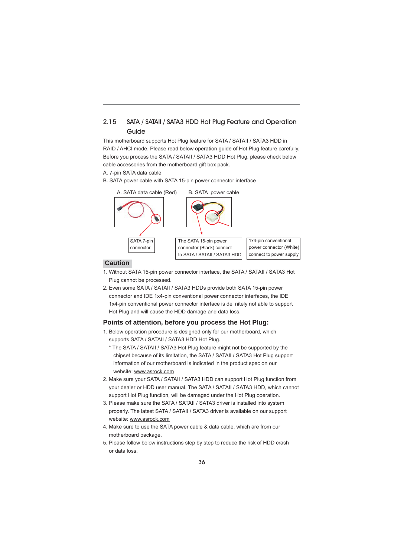### 2.15 SATA / SATAII / SATA3 HDD Hot Plug Feature and Operation Guide

This motherboard supports Hot Plug feature for SATA / SATAII / SATA3 HDD in RAID / AHCI mode. Please read below operation guide of Hot Plug feature carefully. Before you process the SATA / SATAII / SATA3 HDD Hot Plug, please check below cable accessories from the motherboard gift box pack.

A. 7-pin SATA data cable

B. SATA power cable with SATA 15-pin power connector interface



#### **Caution**

- 1. Without SATA 15-pin power connector interface, the SATA / SATAII / SATA3 Hot Plug cannot be processed.
- 2. Even some SATA / SATAII / SATA3 HDDs provide both SATA 15-pin power connector and IDE 1x4-pin conventional power connector interfaces, the IDE 1x4-pin conventional power connector interface is de nitely not able to support Hot Plug and will cause the HDD damage and data loss.

#### **Points of attention, before you process the Hot Plug:**

- 1. Below operation procedure is designed only for our motherboard, which supports SATA / SATAII / SATA3 HDD Hot Plug.
	- \* The SATA / SATAII / SATA3 Hot Plug feature might not be supported by the chipset because of its limitation, the SATA / SATAII / SATA3 Hot Plug support information of our motherboard is indicated in the product spec on our website: www.asrock.com
- 2. Make sure your SATA / SATAII / SATA3 HDD can support Hot Plug function from your dealer or HDD user manual. The SATA / SATAII / SATA3 HDD, which cannot support Hot Plug function, will be damaged under the Hot Plug operation.
- 3. Please make sure the SATA / SATAII / SATA3 driver is installed into system properly. The latest SATA / SATAII / SATA3 driver is available on our support website: www.asrock.com
- 4. Make sure to use the SATA power cable & data cable, which are from our motherboard package.
- 5. Please follow below instructions step by step to reduce the risk of HDD crash or data loss.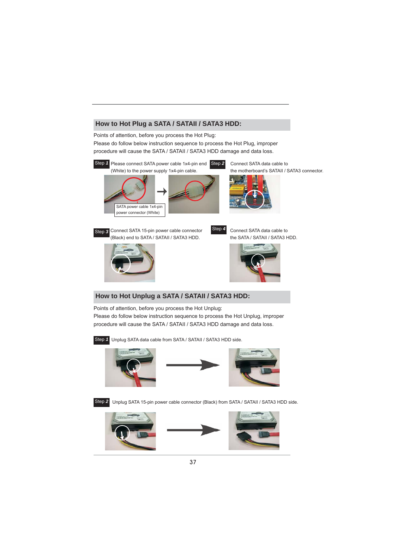#### **How to Hot Plug a SATA / SATAII / SATA3 HDD:**

Points of attention, before you process the Hot Plug: Please do follow below instruction sequence to process the Hot Plug, improper procedure will cause the SATA / SATAII / SATA3 HDD damage and data loss.



Points of attention, before you process the Hot Unplug: Please do follow below instruction sequence to process the Hot Unplug, improper procedure will cause the SATA / SATAII / SATA3 HDD damage and data loss.

Step *1* Unplug SATA data cable from SATA / SATAII / SATA3 HDD side.







Step 2 Unplug SATA 15-pin power cable connector (Black) from SATA / SATAII / SATA3 HDD side.



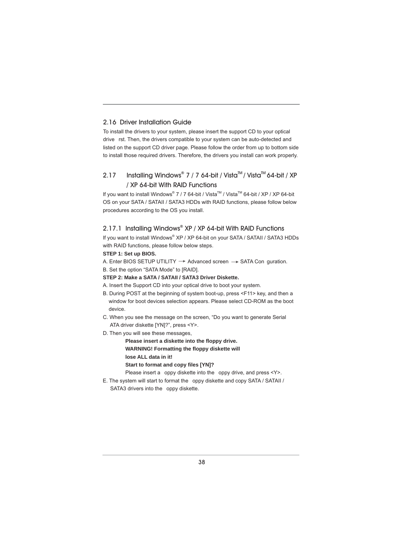#### 2.16 Driver Installation Guide

To install the drivers to your system, please insert the support CD to your optical drive rst. Then, the drivers compatible to your system can be auto-detected and listed on the support CD driver page. Please follow the order from up to bottom side to install those required drivers. Therefore, the drivers you install can work properly.

#### 2.17 Installing Windows® 7 / 7 64-bit / Vista<sup>™</sup> / Vista<sup>™</sup> 64-bit / XP / XP 64-bit With RAID Functions

If you want to install Windows® 7 / 7 64-bit / Vista™ / Vista™ 64-bit / XP / XP 64-bit OS on your SATA / SATAII / SATA3 HDDs with RAID functions, please follow below procedures according to the OS you install.

#### 2.17.1 Installing Windows**®** XP / XP 64-bit With RAID Functions

If you want to install Windows® XP / XP 64-bit on your SATA / SATAII / SATA3 HDDs with RAID functions, please follow below steps.

#### **STEP 1: Set up BIOS.**

A. Enter BIOS SETUP UTILITY  $\rightarrow$  Advanced screen  $\rightarrow$  SATA Con guration. B. Set the option "SATA Mode" to [RAID].

- **STEP 2: Make a SATA / SATAII / SATA3 Driver Diskette.**
- A. Insert the Support CD into your optical drive to boot your system.
- B. During POST at the beginning of system boot-up, press <F11> key, and then a window for boot devices selection appears. Please select CD-ROM as the boot device.
- C. When you see the message on the screen, "Do you want to generate Serial ATA driver diskette [YN]?", press <Y>.
- D. Then you will see these messages,

**Please insert a diskette into the fl oppy drive. WARNING! Formatting the fl oppy diskette will lose ALL data in it!**

**Start to format and copy files [YN]?** 

Please insert a oppy diskette into the oppy drive, and press <Y>.

E. The system will start to format the oppy diskette and copy SATA / SATAII / SATA3 drivers into the oppy diskette.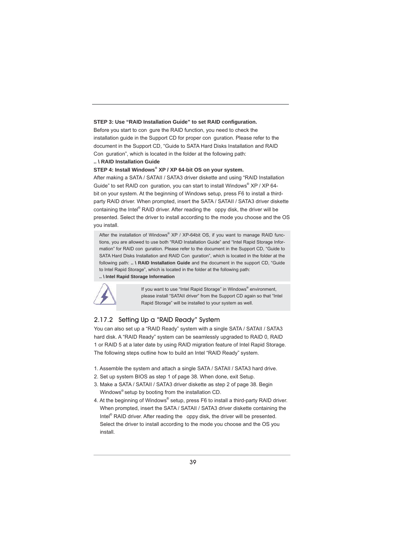#### **STEP 3: Use "RAID Installation Guide" to set RAID configuration.**

Before you start to con gure the RAID function, you need to check the installation guide in the Support CD for proper con guration. Please refer to the document in the Support CD, "Guide to SATA Hard Disks Installation and RAID Con guration", which is located in the folder at the following path:

#### **.. \ RAID Installation Guide**

**STEP 4: Install Windows® XP / XP 64-bit OS on your system.** 

After making a SATA / SATAII / SATA3 driver diskette and using "RAID Installation Guide" to set RAID con guration, you can start to install Windows® XP / XP 64bit on your system. At the beginning of Windows setup, press F6 to install a thirdparty RAID driver. When prompted, insert the SATA / SATAII / SATA3 driver diskette containing the Intel® RAID driver. After reading the oppy disk, the driver will be presented. Select the driver to install according to the mode you choose and the OS you install.

After the installation of Windows® XP / XP-64bit OS, if you want to manage RAID functions, you are allowed to use both "RAID Installation Guide" and "Intel Rapid Storage Information" for RAID con guration. Please refer to the document in the Support CD, "Guide to SATA Hard Disks Installation and RAID Con guration", which is located in the folder at the following path: **.. \ RAID Installation Guide** and the document in the support CD, "Guide to Intel Rapid Storage", which is located in the folder at the following path: **.. \ Intel Rapid Storage Information**



**If you want to use "Intel Rapid Storage" in Windows<sup>®</sup> environment,**  please install "SATAII driver" from the Support CD again so that "Intel Rapid Storage" will be installed to your system as well.

#### 2.17.2 Setting Up a "RAID Ready" System

You can also set up a "RAID Ready" system with a single SATA / SATAII / SATA3 hard disk. A "RAID Ready" system can be seamlessly upgraded to RAID 0, RAID 1 or RAID 5 at a later date by using RAID migration feature of Intel Rapid Storage. The following steps outline how to build an Intel "RAID Ready" system.

- 1. Assemble the system and attach a single SATA / SATAII / SATA3 hard drive.
- 2. Set up system BIOS as step 1 of page 38. When done, exit Setup.
- 3. Make a SATA / SATAII / SATA3 driver diskette as step 2 of page 38. Begin Windows® setup by booting from the installation CD.
- 4. At the beginning of Windows® setup, press F6 to install a third-party RAID driver. When prompted, insert the SATA / SATAII / SATA3 driver diskette containing the Intel<sup>®</sup> RAID driver. After reading the oppy disk, the driver will be presented. Select the driver to install according to the mode you choose and the OS you install.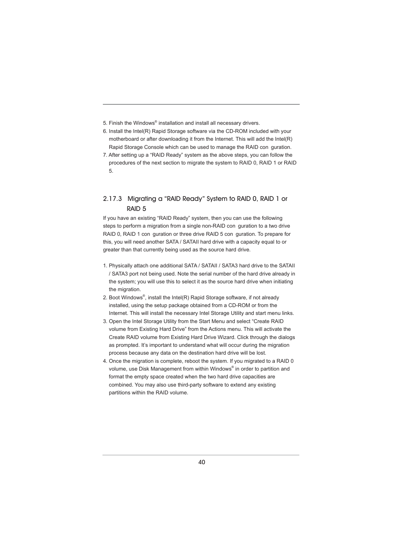5. Finish the Windows® installation and install all necessary drivers.

- 6. Install the Intel(R) Rapid Storage software via the CD-ROM included with your motherboard or after downloading it from the Internet. This will add the Intel(R) Rapid Storage Console which can be used to manage the RAID con guration.
- 7. After setting up a "RAID Ready" system as the above steps, you can follow the procedures of the next section to migrate the system to RAID 0, RAID 1 or RAID 5.

### 2.17.3 Migrating a "RAID Ready" System to RAID 0, RAID 1 or RAID 5

If you have an existing "RAID Ready" system, then you can use the following steps to perform a migration from a single non-RAID con guration to a two drive RAID 0, RAID 1 con guration or three drive RAID 5 con guration. To prepare for this, you will need another SATA / SATAII hard drive with a capacity equal to or greater than that currently being used as the source hard drive.

- 1. Physically attach one additional SATA / SATAII / SATA3 hard drive to the SATAII / SATA3 port not being used. Note the serial number of the hard drive already in the system; you will use this to select it as the source hard drive when initiating the migration.
- 2. Boot Windows®, install the Intel(R) Rapid Storage software, if not already installed, using the setup package obtained from a CD-ROM or from the Internet. This will install the necessary Intel Storage Utility and start menu links.
- 3. Open the Intel Storage Utility from the Start Menu and select "Create RAID volume from Existing Hard Drive" from the Actions menu. This will activate the Create RAID volume from Existing Hard Drive Wizard. Click through the dialogs as prompted. It's important to understand what will occur during the migration process because any data on the destination hard drive will be lost.
- 4. Once the migration is complete, reboot the system. If you migrated to a RAID 0 volume, use Disk Management from within Windows<sup>®</sup> in order to partition and format the empty space created when the two hard drive capacities are combined. You may also use third-party software to extend any existing partitions within the RAID volume.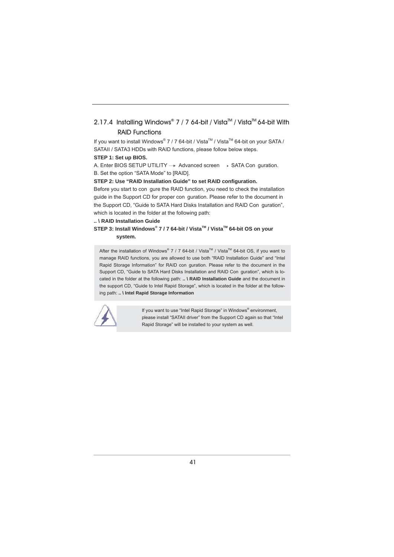#### 2.17.4 Installing Windows**®** 7 / 7 64-bit / VistaTM / VistaTM 64-bit With RAID Functions

If you want to install Windows® 7 / 7 64-bit / Vista™ / Vista™ 64-bit on your SATA / SATAII / SATA3 HDDs with RAID functions, please follow below steps.

#### **STEP 1: Set up BIOS.**

A. Enter BIOS SETUP UTILITY  $\rightarrow$  Advanced screen  $\rightarrow$  SATA Con guration.

B. Set the option "SATA Mode" to [RAID].

**STEP 2: Use "RAID Installation Guide" to set RAID confi guration.** 

Before you start to con gure the RAID function, you need to check the installation guide in the Support CD for proper con guration. Please refer to the document in the Support CD, "Guide to SATA Hard Disks Installation and RAID Con guration", which is located in the folder at the following path:

**.. \ RAID Installation Guide**

#### **STEP 3: Install Windows® 7 / 7 64-bit / VistaTM / VistaTM 64-bit OS on your system.**

After the installation of Windows® 7 / 7 64-bit / Vista™ / Vista<sup>™</sup> 64-bit OS, if you want to manage RAID functions, you are allowed to use both "RAID Installation Guide" and "Intel Rapid Storage Information" for RAID con guration. Please refer to the document in the Support CD, "Guide to SATA Hard Disks Installation and RAID Con guration", which is located in the folder at the following path: **.. \ RAID Installation Guide** and the document in the support CD, "Guide to Intel Rapid Storage", which is located in the folder at the following path: **.. \ Intel Rapid Storage Information**



**If you want to use "Intel Rapid Storage" in Windows<sup>®</sup> environment,**  please install "SATAII driver" from the Support CD again so that "Intel Rapid Storage" will be installed to your system as well.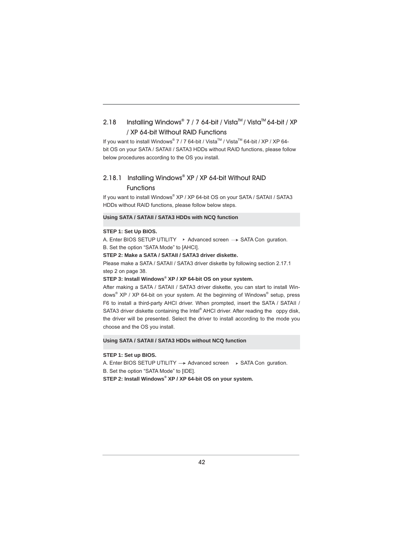#### 2.18 Installing Windows® 7 / 7 64-bit / Vista™ / Vista<sup>™</sup> 64-bit / XP / XP 64-bit Without RAID Functions

If you want to install Windows® 7 / 7 64-bit / Vista™ / Vista™ 64-bit / XP / XP 64bit OS on your SATA / SATAII / SATA3 HDDs without RAID functions, please follow below procedures according to the OS you install.

#### 2.18.1 Installing Windows**®** XP / XP 64-bit Without RAID

#### **Functions**

If you want to install Windows® XP / XP 64-bit OS on your SATA / SATAII / SATA3 HDDs without RAID functions, please follow below steps.

#### **Using SATA / SATAII / SATA3 HDDs with NCQ function**

#### **STEP 1: Set Up BIOS.**

A. Enter BIOS SETUP UTILITY  $\rightarrow$  Advanced screen  $\rightarrow$  SATA Con guration. B. Set the option "SATA Mode" to [AHCI].

#### **STEP 2: Make a SATA / SATAII / SATA3 driver diskette.**

Please make a SATA / SATAII / SATA3 driver diskette by following section 2.17.1 step 2 on page 38.

#### **STEP 3: Install Windows® XP / XP 64-bit OS on your system.**

After making a SATA / SATAII / SATA3 driver diskette, you can start to install Windows® XP / XP 64-bit on your system. At the beginning of Windows® setup, press F6 to install a third-party AHCI driver. When prompted, insert the SATA / SATAII / SATA3 driver diskette containing the Intel® AHCI driver. After reading the oppy disk, the driver will be presented. Select the driver to install according to the mode you choose and the OS you install.

#### **Using SATA / SATAII / SATA3 HDDs without NCQ function**

#### **STEP 1: Set up BIOS.**

A. Enter BIOS SETUP UTILITY  $\rightarrow$  Advanced screen  $\rightarrow$  SATA Con guration. B. Set the option "SATA Mode" to [IDE].

**STEP 2: Install Windows® XP / XP 64-bit OS on your system.**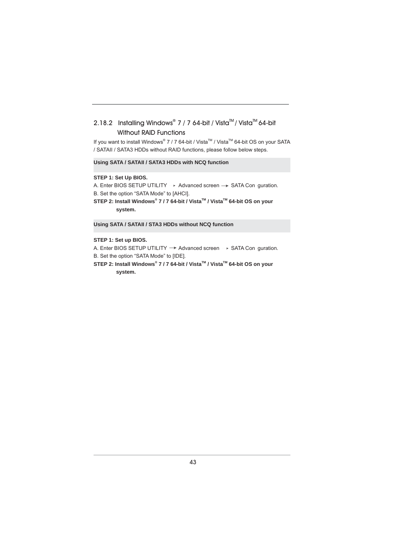### 2.18.2 Installing Windows® 7 / 7 64-bit / Vista<sup>™</sup> / Vista<sup>™</sup> 64-bit Without RAID Functions

If you want to install Windows® 7 / 7 64-bit / Vista™ / Vista™ 64-bit OS on your SATA / SATAII / SATA3 HDDs without RAID functions, please follow below steps.

**Using SATA / SATAII / SATA3 HDDs with NCQ function**

#### **STEP 1: Set Up BIOS.**

A. Enter BIOS SETUP UTILITY  $\rightarrow$  Advanced screen  $\rightarrow$  SATA Con guration.

B. Set the option "SATA Mode" to [AHCI].

STEP 2: Install Windows<sup>®</sup> 7 / 7 64-bit / Vista<sup>™</sup> / Vista<sup>™</sup> 64-bit OS on your  **system.**

**Using SATA / SATAII / STA3 HDDs without NCQ function**

#### **STEP 1: Set up BIOS.**

A. Enter BIOS SETUP UTILITY  $\rightarrow$  Advanced screen  $\rightarrow$  SATA Con guration. B. Set the option "SATA Mode" to [IDE].

STEP 2: Install Windows<sup>®</sup> 7 / 7 64-bit / Vista<sup>™</sup> / Vista<sup>™</sup> 64-bit OS on your  **system.**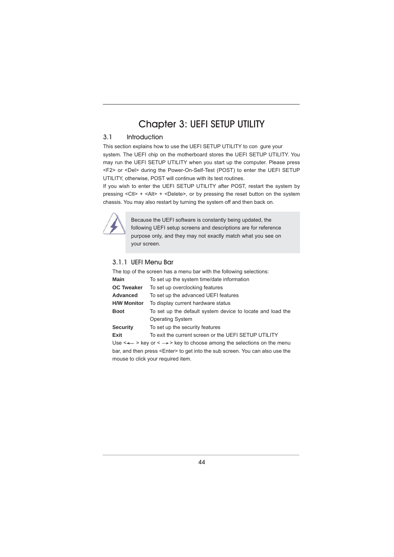### Chapter 3: UEFI SETUP UTILITY

#### 3.1 Introduction

This section explains how to use the UEFI SETUP UTILITY to con gure your system. The UEFI chip on the motherboard stores the UEFI SETUP UTILITY. You may run the UEFI SETUP UTILITY when you start up the computer. Please press <F2> or <Del> during the Power-On-Self-Test (POST) to enter the UEFI SETUP UTILITY, otherwise, POST will continue with its test routines.

If you wish to enter the UEFI SETUP UTILITY after POST, restart the system by pressing <Ctl> + <Alt> + <Delete>, or by pressing the reset button on the system chassis. You may also restart by turning the system off and then back on.



Because the UEFI software is constantly being updated, the following UEFI setup screens and descriptions are for reference purpose only, and they may not exactly match what you see on your screen.

#### 3.1.1 UEFI Menu Bar

The top of the screen has a menu bar with the following selections: **Main** To set up the system time/date information **OC Tweaker** To set up overclocking features **Advanced** To set up the advanced UEFI features **H/W Monitor** To display current hardware status **Boot** To set up the default system device to locate and load the Operating System **Security** To set up the security features **Exit** To exit the current screen or the UEFI SETUP UTILITY

Use  $\leftarrow$  > key or  $\leftarrow$  > key to choose among the selections on the menu bar, and then press <Enter> to get into the sub screen. You can also use the mouse to click your required item.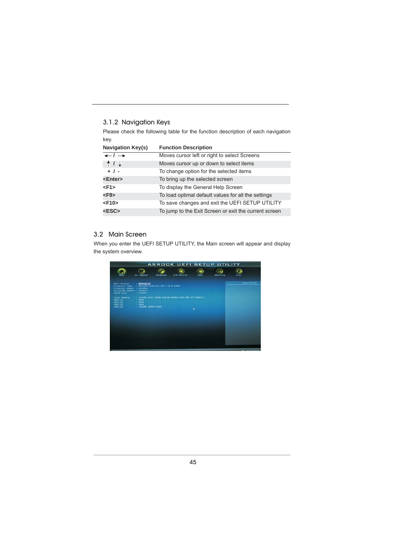#### 3.1.2 Navigation Keys

Please check the following table for the function description of each navigation key.

| <b>Navigation Key(s)</b>     | <b>Function Description</b>                           |  |  |  |
|------------------------------|-------------------------------------------------------|--|--|--|
| $\leftarrow$ / $\rightarrow$ | Moves cursor left or right to select Screens          |  |  |  |
| 11.                          | Moves cursor up or down to select items               |  |  |  |
| $+$ / -                      | To change option for the selected items               |  |  |  |
| <enter></enter>              | To bring up the selected screen                       |  |  |  |
| $<$ F1>                      | To display the General Help Screen                    |  |  |  |
| $<$ F9 $>$                   | To load optimal default values for all the settings   |  |  |  |
| $<$ F10 $>$                  | To save changes and exit the UEFI SETUP UTILITY       |  |  |  |
| $<$ ESC $>$                  | To jump to the Exit Screen or exit the current screen |  |  |  |

#### 3.2 Main Screen

When you enter the UEFI SETUP UTILITY, the Main screen will appear and display the system overview.

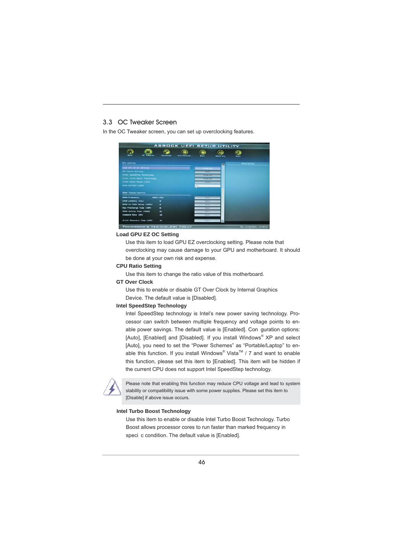#### 3.3 OC Tweaker Screen

In the OC Tweaker screen, you can set up overclocking features.



#### **Load GPU EZ OC Setting**

Use this item to load GPU EZ overclocking setting. Please note that overclocking may cause damage to your GPU and motherboard. It should be done at your own risk and expense.

#### **CPU Ratio Setting**

Use this item to change the ratio value of this motherboard.

#### **GT Over Clock**

Use this to enable or disable GT Over Clock by Internal Graphics Device. The default value is [Disabled].

#### **Intel SpeedStep Technology**

Intel SpeedStep technology is Intel's new power saving technology. Processor can switch between multiple frequency and voltage points to enable power savings. The default value is [Enabled]. Con guration options: [Auto], [Enabled] and [Disabled]. If you install Windows<sup>®</sup> XP and select [Auto], you need to set the "Power Schemes" as "Portable/Laptop" to enable this function. If you install Windows<sup>®</sup> Vista<sup>™</sup> / 7 and want to enable this function, please set this item to [Enabled]. This item will be hidden if the current CPU does not support Intel SpeedStep technology.



 Please note that enabling this function may reduce CPU voltage and lead to system stability or compatibility issue with some power supplies. Please set this item to [Disable] if above issue occurs.

#### **Intel Turbo Boost Technology**

 Use this item to enable or disable Intel Turbo Boost Technology. Turbo Boost allows processor cores to run faster than marked frequency in speci c condition. The default value is [Enabled].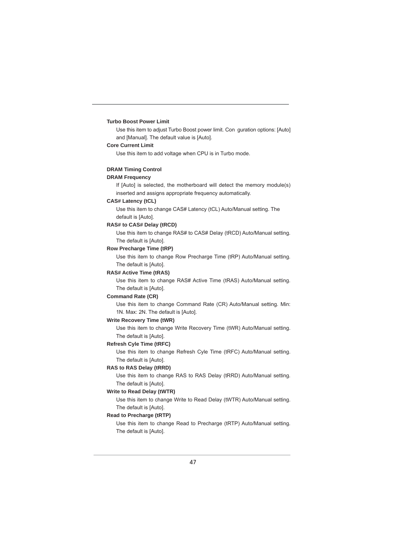#### **Turbo Boost Power Limit**

 Use this item to adjust Turbo Boost power limit. Con guration options: [Auto] and [Manual]. The default value is [Auto].

#### **Core Current Limit**

Use this item to add voltage when CPU is in Turbo mode.

#### **DRAM Timing Control**

#### **DRAM Frequency**

If [Auto] is selected, the motherboard will detect the memory module(s) inserted and assigns appropriate frequency automatically.

#### **CAS# Latency (tCL)**

Use this item to change CAS# Latency (tCL) Auto/Manual setting. The default is [Auto].

#### **RAS# to CAS# Delay (tRCD)**

Use this item to change RAS# to CAS# Delay (tRCD) Auto/Manual setting. The default is [Auto].

#### **Row Precharge Time (tRP)**

Use this item to change Row Precharge Time (tRP) Auto/Manual setting. The default is [Auto].

#### **RAS# Active Time (tRAS)**

Use this item to change RAS# Active Time (tRAS) Auto/Manual setting. The default is [Auto].

#### **Command Rate (CR)**

Use this item to change Command Rate (CR) Auto/Manual setting. Min: 1N. Max: 2N. The default is [Auto].

#### **Write Recovery Time (tWR)**

Use this item to change Write Recovery Time (tWR) Auto/Manual setting. The default is [Auto].

#### **Refresh Cyle Time (tRFC)**

Use this item to change Refresh Cyle Time (tRFC) Auto/Manual setting. The default is [Auto].

#### **RAS to RAS Delay (tRRD)**

Use this item to change RAS to RAS Delay (tRRD) Auto/Manual setting. The default is [Auto].

#### **Write to Read Delay (tWTR)**

Use this item to change Write to Read Delay (tWTR) Auto/Manual setting. The default is [Auto].

#### **Read to Precharge (tRTP)**

Use this item to change Read to Precharge (tRTP) Auto/Manual setting. The default is [Auto].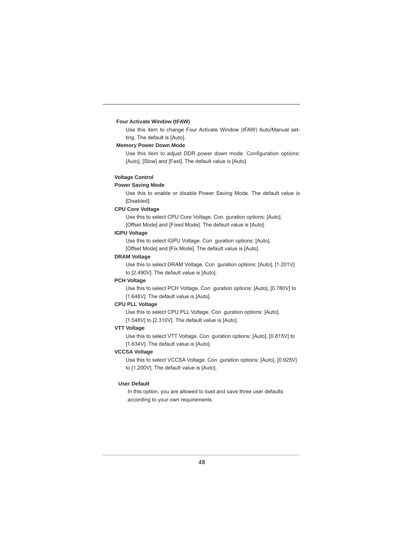#### **Four Activate Window (tFAW)**

Use this item to change Four Activate Window (tFAW) Auto/Manual setting. The default is [Auto].

#### **Memory Power Down Mode**

Use this item to adjust DDR power down mode. Configuration options: [Auto], [Slow] and [Fast]. The default value is [Auto].

#### **Voltage Control**

#### **Power Saving Mode**

Use this to enable or disable Power Saving Mode. The default value is [Disabled].

#### **CPU Core Voltage**

Use this to select CPU Core Voltage. Con guration options: [Auto],

[Offset Mode] and [Fixed Mode]. The default value is [Auto].

#### **IGPU Voltage**

 Use this to select IGPU Voltage. Con guration options: [Auto], [Offset Mode] and [Fix Mode]. The default value is [Auto].

#### **DRAM Voltage**

Use this to select DRAM Voltage. Con guration options: [Auto], [1.201V] to [2.490V]. The default value is [Auto].

#### **PCH Voltage**

Use this to select PCH Voltage. Con guration options: [Auto], [0.780V] to [1.646V]. The default value is [Auto].

#### **CPU PLL Voltage**

Use this to select CPU PLL Voltage. Con guration options: [Auto], [1.548V] to [2.310V]. The default value is [Auto].

#### **VTT Voltage**

Use this to select VTT Voltage. Con guration options: [Auto], [0.815V] to [1.634V]. The default value is [Auto].

#### **VCCSA Voltage**

Use this to select VCCSA Voltage. Con guration options: [Auto], [0.925V] to [1.200V]. The default value is [Auto].

#### **User Default**

In this option, you are allowed to load and save three user defaults according to your own requirements.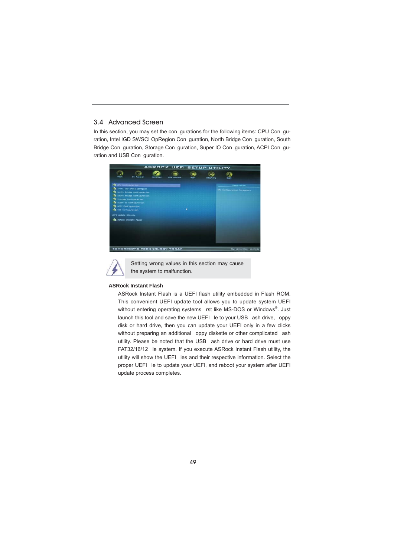#### 3.4 Advanced Screen

In this section, you may set the con gurations for the following items: CPU Con guration, Intel IGD SWSCI OpRegion Con guration, North Bridge Con guration, South Bridge Con guration, Storage Con guration, Super IO Con guration, ACPI Con guration and USB Con guration.





Setting wrong values in this section may cause the system to malfunction.

#### **ASRock Instant Flash**

ASRock Instant Flash is a UEFI flash utility embedded in Flash ROM. This convenient UEFI update tool allows you to update system UEFI without entering operating systems rst like MS-DOS or Windows®. Just launch this tool and save the new UEFI le to your USB ash drive, oppy disk or hard drive, then you can update your UEFI only in a few clicks without preparing an additional oppy diskette or other complicated ash utility. Please be noted that the USB ash drive or hard drive must use FAT32/16/12 le system. If you execute ASRock Instant Flash utility, the utility will show the UEFI les and their respective information. Select the proper UEFI le to update your UEFI, and reboot your system after UEFI update process completes.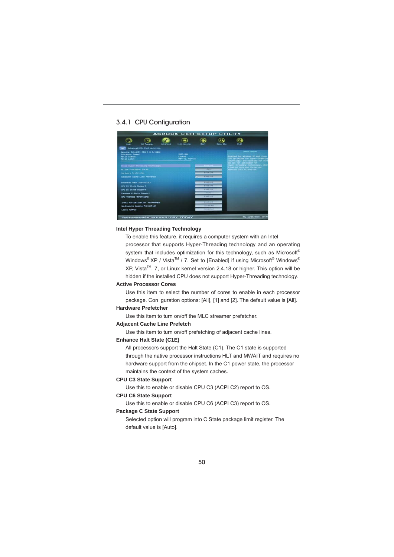#### 3.4.1 CPU Configuration



#### **Intel Hyper Threading Technology**

To enable this feature, it requires a computer system with an Intel processor that supports Hyper-Threading technology and an operating system that includes optimization for this technology, such as Microsoft® Windows<sup>®</sup> XP / Vista<sup>™</sup> / 7. Set to [Enabled] if using Microsoft<sup>®</sup> Windows<sup>®</sup> XP, Vista<sup>™</sup>, 7, or Linux kernel version 2.4.18 or higher. This option will be hidden if the installed CPU does not support Hyper-Threading technology.

#### **Active Processor Cores**

Use this item to select the number of cores to enable in each processor package. Con guration options: [All], [1] and [2]. The default value is [All].

#### **Hardware Prefetcher**

Use this item to turn on/off the MLC streamer prefetcher.

#### **Adjacent Cache Line Prefetch**

Use this item to turn on/off prefetching of adjacent cache lines.

#### **Enhance Halt State (C1E)**

All processors support the Halt State (C1). The C1 state is supported through the native processor instructions HLT and MWAIT and requires no hardware support from the chipset. In the C1 power state, the processor maintains the context of the system caches.

#### **CPU C3 State Support**

Use this to enable or disable CPU C3 (ACPI C2) report to OS.

#### **CPU C6 State Support**

Use this to enable or disable CPU C6 (ACPI C3) report to OS.

#### **Package C State Support**

 Selected option will program into C State package limit register. The default value is [Auto].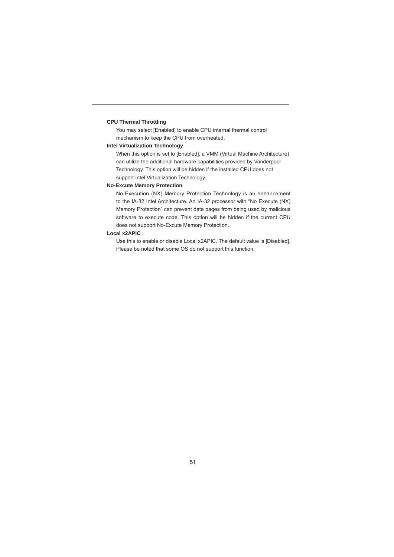#### **CPU Thermal Throttling**

You may select [Enabled] to enable CPU internal thermal control mechanism to keep the CPU from overheated.

#### **Intel Virtualization Technology**

When this option is set to [Enabled], a VMM (Virtual Machine Architecture) can utilize the additional hardware capabilities provided by Vanderpool Technology. This option will be hidden if the installed CPU does not support Intel Virtualization Technology.

#### **No-Excute Memory Protection**

No-Execution (NX) Memory Protection Technology is an enhancement to the IA-32 Intel Architecture. An IA-32 processor with "No Execute (NX) Memory Protection" can prevent data pages from being used by malicious software to execute code. This option will be hidden if the current CPU does not support No-Excute Memory Protection.

#### **Local x2APIC**

Use this to enable or disable Local x2APIC. The default value is [Disabled]. Please be noted that some OS do not support this function.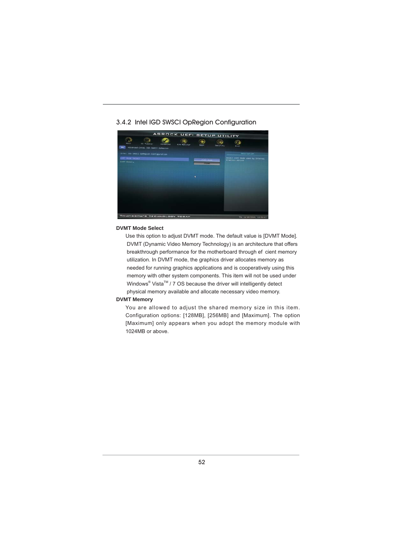#### 3.4.2 Intel IGD SWSCI OpRegion Configuration



#### **DVMT Mode Select**

Use this option to adjust DVMT mode. The default value is [DVMT Mode]. DVMT (Dynamic Video Memory Technology) is an architecture that offers breakthrough performance for the motherboard through ef cient memory utilization. In DVMT mode, the graphics driver allocates memory as needed for running graphics applications and is cooperatively using this memory with other system components. This item will not be used under Windows<sup>®</sup> Vista<sup>™</sup> / 7 OS because the driver will intelligently detect physical memory available and allocate necessary video memory.

#### **DVMT Memory**

You are allowed to adjust the shared memory size in this item. Configuration options: [128MB], [256MB] and [Maximum]. The option [Maximum] only appears when you adopt the memory module with 1024MB or above.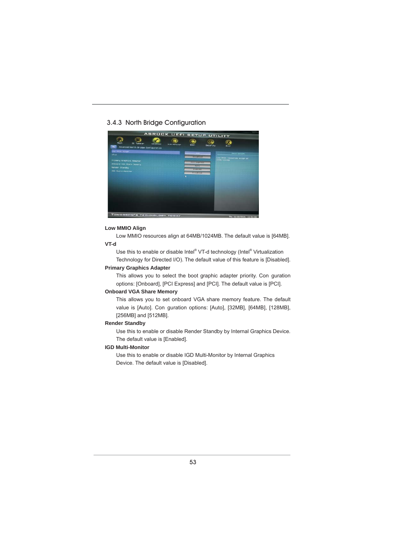#### 3.4.3 North Bridge Configuration



#### **Low MMIO Align**

 Low MMIO resources align at 64MB/1024MB. The default value is [64MB].  **VT-d**

Use this to enable or disable Intel® VT-d technology (Intel® Virtualization Technology for Directed I/O). The default value of this feature is [Disabled].

#### **Primary Graphics Adapter**

This allows you to select the boot graphic adapter priority. Con guration options: [Onboard], [PCI Express] and [PCI]. The default value is [PCI].

#### **Onboard VGA Share Memory**

This allows you to set onboard VGA share memory feature. The default value is [Auto]. Con guration options: [Auto], [32MB], [64MB], [128MB], [256MB] and [512MB].

#### **Render Standby**

Use this to enable or disable Render Standby by Internal Graphics Device. The default value is [Enabled].

#### **IGD Multi-Monitor**

Use this to enable or disable IGD Multi-Monitor by Internal Graphics Device. The default value is [Disabled].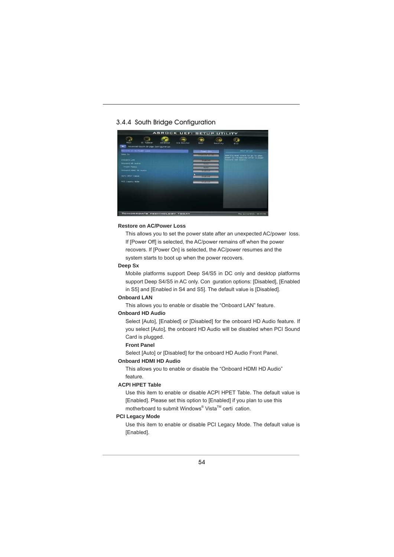#### 3.4.4 South Bridge Configuration



#### **Restore on AC/Power Loss**

This allows you to set the power state after an unexpected AC/power loss. If [Power Off] is selected, the AC/power remains off when the power recovers. If [Power On] is selected, the AC/power resumes and the system starts to boot up when the power recovers.

#### **Deep Sx**

Mobile platforms support Deep S4/S5 in DC only and desktop platforms support Deep S4/S5 in AC only. Con guration options: [Disabled], [Enabled in S5] and [Enabled in S4 and S5]. The default value is [Disabled].

#### **Onboard LAN**

This allows you to enable or disable the "Onboard LAN" feature.

#### **Onboard HD Audio**

Select [Auto], [Enabled] or [Disabled] for the onboard HD Audio feature. If you select [Auto], the onboard HD Audio will be disabled when PCI Sound Card is plugged.

#### **Front Panel**

Select [Auto] or [Disabled] for the onboard HD Audio Front Panel.

#### **Onboard HDMI HD Audio**

This allows you to enable or disable the "Onboard HDMI HD Audio" feature.

#### **ACPI HPET Table**

 Use this item to enable or disable ACPI HPET Table. The default value is [Enabled]. Please set this option to [Enabled] if you plan to use this motherboard to submit Windows<sup>®</sup> Vista<sup>™</sup> certi cation.

#### **PCI Legacy Mode**

 Use this item to enable or disable PCI Legacy Mode. The default value is [Enabled].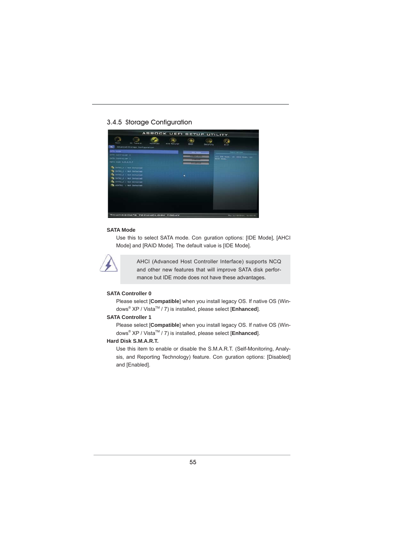#### 3.4.5 Storage Configuration



#### **SATA Mode**

Use this to select SATA mode. Con guration options: [IDE Mode], [AHCI Mode] and [RAID Mode]. The default value is [IDE Mode].



AHCI (Advanced Host Controller Interface) supports NCQ and other new features that will improve SATA disk performance but IDE mode does not have these advantages.

#### **SATA Controller 0**

Please select [**Compatible**] when you install legacy OS. If native OS (Windows<sup>®</sup> XP / Vista<sup>™</sup> / 7) is installed, please select [**Enhanced**].

#### **SATA Controller 1**

Please select [**Compatible**] when you install legacy OS. If native OS (Windows<sup>®</sup> XP / Vista<sup>™</sup> / 7) is installed, please select [**Enhanced**].

#### **Hard Disk S.M.A.R.T.**

 Use this item to enable or disable the S.M.A.R.T. (Self-Monitoring, Analysis, and Reporting Technology) feature. Con guration options: [Disabled] and [Enabled].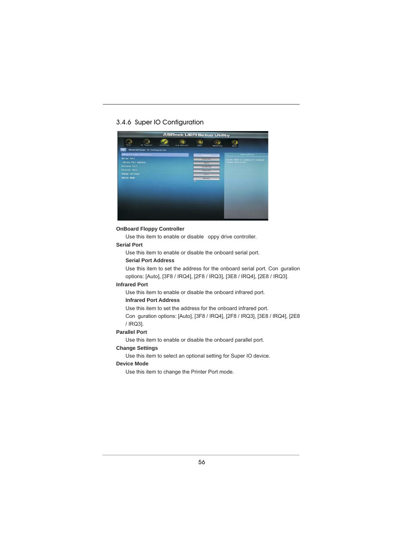#### 3.4.6 Super IO Configuration



#### **OnBoard Floppy Controller**

Use this item to enable or disable oppy drive controller.

#### **Serial Port**

Use this item to enable or disable the onboard serial port.

#### **Serial Port Address**

Use this item to set the address for the onboard serial port. Con guration options: [Auto], [3F8 / IRQ4], [2F8 / IRQ3], [3E8 / IRQ4], [2E8 / IRQ3].

#### **Infrared Port**

Use this item to enable or disable the onboard infrared port.

#### **Infrared Port Address**

Use this item to set the address for the onboard infrared port.

 Con guration options: [Auto], [3F8 / IRQ4], [2F8 / IRQ3], [3E8 / IRQ4], [2E8 / IRQ3].

#### **Parallel Port**

Use this item to enable or disable the onboard parallel port.

#### **Change Settings**

Use this item to select an optional setting for Super IO device.

#### **Device Mode**

Use this item to change the Printer Port mode.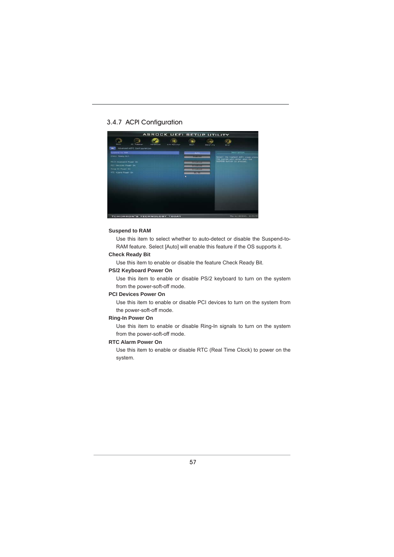#### 3.4.7 ACPI Configuration



#### **Suspend to RAM**

Use this item to select whether to auto-detect or disable the Suspend-to-RAM feature. Select [Auto] will enable this feature if the OS supports it.

#### **Check Ready Bit**

Use this item to enable or disable the feature Check Ready Bit.

#### **PS/2 Keyboard Power On**

Use this item to enable or disable PS/2 keyboard to turn on the system from the power-soft-off mode.

#### **PCI Devices Power On**

 Use this item to enable or disable PCI devices to turn on the system from the power-soft-off mode.

#### **Ring-In Power On**

 Use this item to enable or disable Ring-In signals to turn on the system from the power-soft-off mode.

#### **RTC Alarm Power On**

 Use this item to enable or disable RTC (Real Time Clock) to power on the system.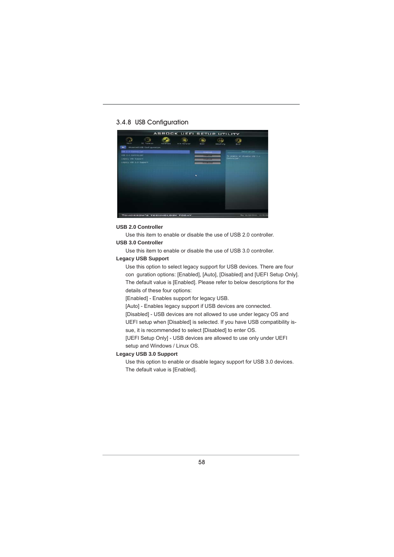### 3.4.8 USB Configuration



#### **USB 2.0 Controller**

Use this item to enable or disable the use of USB 2.0 controller. **USB 3.0 Controller**

Use this item to enable or disable the use of USB 3.0 controller.

#### **Legacy USB Support**

Use this option to select legacy support for USB devices. There are four con guration options: [Enabled], [Auto], [Disabled] and [UEFI Setup Only]. The default value is [Enabled]. Please refer to below descriptions for the details of these four options:

[Enabled] - Enables support for legacy USB.

[Auto] - Enables legacy support if USB devices are connected.

[Disabled] - USB devices are not allowed to use under legacy OS and

UEFI setup when [Disabled] is selected. If you have USB compatibility is-

sue, it is recommended to select [Disabled] to enter OS.

[UEFI Setup Only] - USB devices are allowed to use only under UEFI setup and Windows / Linux OS.

#### **Legacy USB 3.0 Support**

Use this option to enable or disable legacy support for USB 3.0 devices. The default value is [Enabled].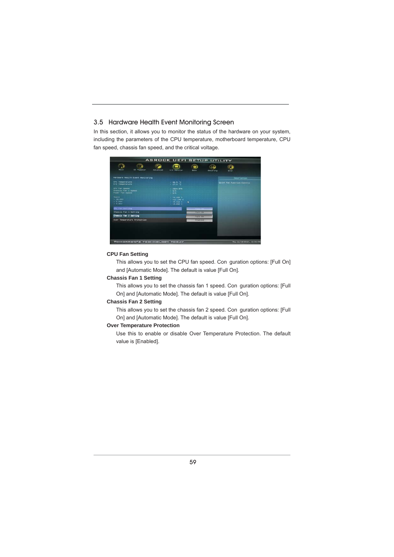#### 3.5 Hardware Health Event Monitoring Screen

In this section, it allows you to monitor the status of the hardware on your system, including the parameters of the CPU temperature, motherboard temperature, CPU fan speed, chassis fan speed, and the critical voltage.



#### **CPU Fan Setting**

 This allows you to set the CPU fan speed. Con guration options: [Full On] and [Automatic Mode]. The default is value [Full On].

#### **Chassis Fan 1 Setting**

 This allows you to set the chassis fan 1 speed. Con guration options: [Full On] and [Automatic Mode]. The default is value [Full On].

#### **Chassis Fan 2 Setting**

 This allows you to set the chassis fan 2 speed. Con guration options: [Full On] and [Automatic Mode]. The default is value [Full On].

#### **Over Temperature Protection**

 Use this to enable or disable Over Temperature Protection. The default value is [Enabled].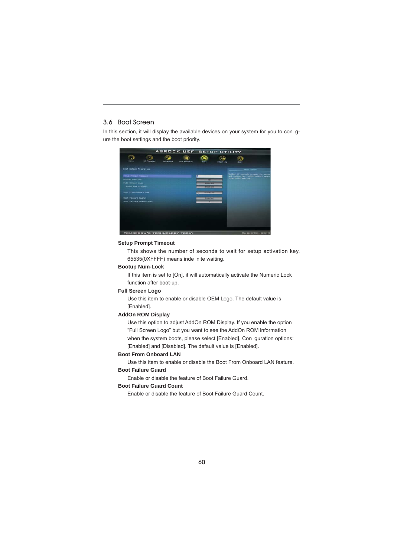#### 3.6 Boot Screen

In this section, it will display the available devices on your system for you to con gure the boot settings and the boot priority.



#### **Setup Prompt Timeout**

This shows the number of seconds to wait for setup activation key. 65535(0XFFFF) means inde nite waiting.

#### **Bootup Num-Lock**

If this item is set to [On], it will automatically activate the Numeric Lock function after boot-up.

#### **Full Screen Logo**

Use this item to enable or disable OEM Logo. The default value is [Enabled].

#### **AddOn ROM Display**

Use this option to adjust AddOn ROM Display. If you enable the option "Full Screen Logo" but you want to see the AddOn ROM information when the system boots, please select [Enabled]. Con guration options: [Enabled] and [Disabled]. The default value is [Enabled].

#### **Boot From Onboard LAN**

Use this item to enable or disable the Boot From Onboard LAN feature.

#### **Boot Failure Guard**

Enable or disable the feature of Boot Failure Guard.

#### **Boot Failure Guard Count**

Enable or disable the feature of Boot Failure Guard Count.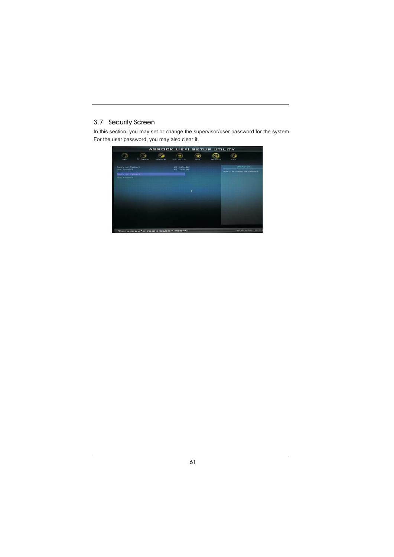#### 3.7 Security Screen

In this section, you may set or change the supervisor/user password for the system. For the user password, you may also clear it.

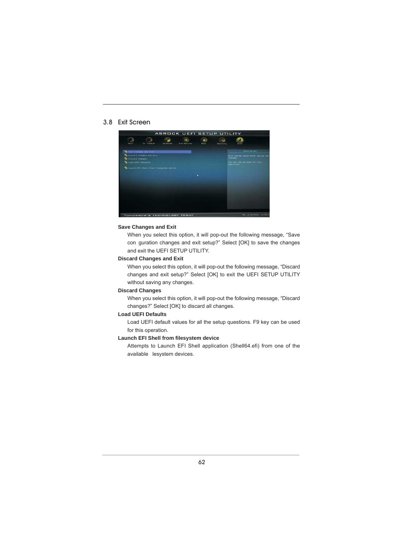#### 3.8 Exit Screen



#### **Save Changes and Exit**

When you select this option, it will pop-out the following message, "Save con guration changes and exit setup?" Select [OK] to save the changes and exit the UEFI SETUP UTILITY.

#### **Discard Changes and Exit**

When you select this option, it will pop-out the following message, "Discard changes and exit setup?" Select [OK] to exit the UEFI SETUP UTILITY without saving any changes.

#### **Discard Changes**

When you select this option, it will pop-out the following message, "Discard changes?" Select [OK] to discard all changes.

#### **Load UEFI Defaults**

Load UEFI default values for all the setup questions. F9 key can be used for this operation.

#### **Launch EFI Shell from filesystem device**

Attempts to Launch EFI Shell application (Shell64.efi) from one of the available lesystem devices.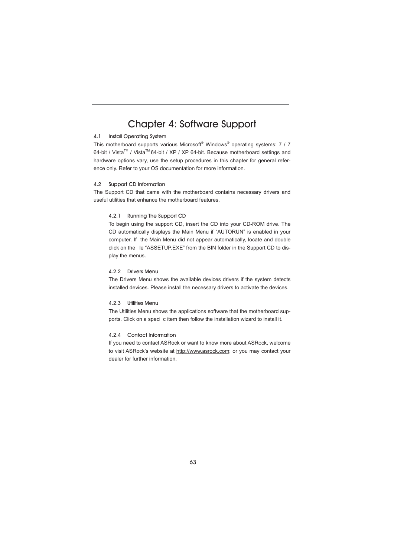### Chapter 4: Software Support

#### 4.1 Install Operating System

This motherboard supports various Microsoft® Windows® operating systems: 7 / 7 64-bit / Vista™ / Vista<sup>™</sup> 64-bit / XP / XP 64-bit. Because motherboard settings and hardware options vary, use the setup procedures in this chapter for general reference only. Refer to your OS documentation for more information.

#### 4.2 Support CD Information

The Support CD that came with the motherboard contains necessary drivers and useful utilities that enhance the motherboard features.

#### 4.2.1 Running The Support CD

To begin using the support CD, insert the CD into your CD-ROM drive. The CD automatically displays the Main Menu if "AUTORUN" is enabled in your computer. If the Main Menu did not appear automatically, locate and double click on the le "ASSETUP.EXE" from the BIN folder in the Support CD to display the menus.

#### 4.2.2 Drivers Menu

The Drivers Menu shows the available devices drivers if the system detects installed devices. Please install the necessary drivers to activate the devices.

#### 4.2.3 Utilities Menu

The Utilities Menu shows the applications software that the motherboard supports. Click on a speci c item then follow the installation wizard to install it.

#### 4.2.4 Contact Information

If you need to contact ASRock or want to know more about ASRock, welcome to visit ASRock's website at http://www.asrock.com; or you may contact your dealer for further information.